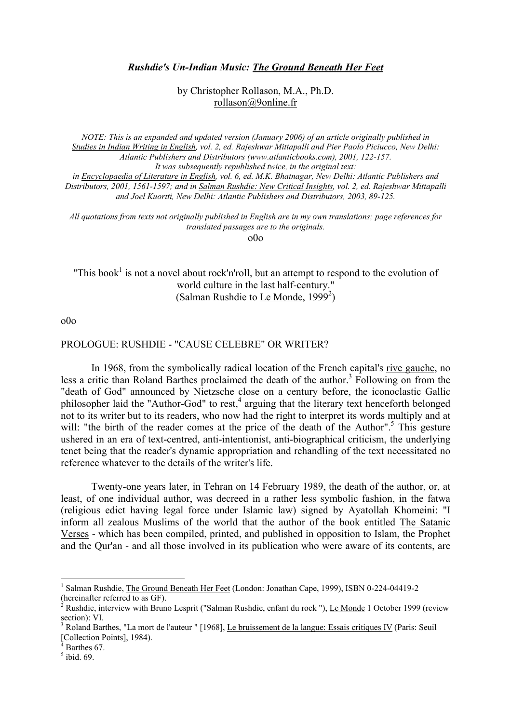### *Rushdie's Un-Indian Music: The Ground Beneath Her Feet*

by Christopher Rollason, M.A., Ph.D. rollason@9online.fr

*NOTE: This is an expanded and updated version (January 2006) of an article originally published in Studies in Indian Writing in English, vol. 2, ed. Rajeshwar Mittapalli and Pier Paolo Piciucco, New Delhi: Atlantic Publishers and Distributors (www.atlanticbooks.com), 2001, 122-157. It was subsequently republished twice, in the original text:* 

*in Encyclopaedia of Literature in English, vol. 6, ed. M.K. Bhatnagar, New Delhi: Atlantic Publishers and Distributors, 2001, 1561-1597; and in Salman Rushdie: New Critical Insights, vol. 2, ed. Rajeshwar Mittapalli and Joel Kuortti, New Delhi: Atlantic Publishers and Distributors, 2003, 89-125.* 

*All quotations from texts not originally published in English are in my own translations; page references for translated passages are to the originals.*

o0o

# "This book<sup>1</sup> is not a novel about rock'n'roll, but an attempt to respond to the evolution of world culture in the last half-century." (Salman Rushdie to Le Monde, 1999<sup>2</sup>)

o0o

## PROLOGUE: RUSHDIE - "CAUSE CELEBRE" OR WRITER?

 In 1968, from the symbolically radical location of the French capital's rive gauche, no less a critic than Roland Barthes proclaimed the death of the author.<sup>3</sup> Following on from the "death of God" announced by Nietzsche close on a century before, the iconoclastic Gallic philosopher laid the "Author-God" to rest,<sup>4</sup> arguing that the literary text henceforth belonged not to its writer but to its readers, who now had the right to interpret its words multiply and at will: "the birth of the reader comes at the price of the death of the Author".<sup>5</sup> This gesture ushered in an era of text-centred, anti-intentionist, anti-biographical criticism, the underlying tenet being that the reader's dynamic appropriation and rehandling of the text necessitated no reference whatever to the details of the writer's life.

 Twenty-one years later, in Tehran on 14 February 1989, the death of the author, or, at least, of one individual author, was decreed in a rather less symbolic fashion, in the fatwa (religious edict having legal force under Islamic law) signed by Ayatollah Khomeini: "I inform all zealous Muslims of the world that the author of the book entitled The Satanic Verses - which has been compiled, printed, and published in opposition to Islam, the Prophet and the Qur'an - and all those involved in its publication who were aware of its contents, are

<sup>&</sup>lt;sup>1</sup> Salman Rushdie, The Ground Beneath Her Feet (London: Jonathan Cape, 1999), ISBN 0-224-04419-2 (hereinafter referred to as GF).

<sup>2</sup> Rushdie, interview with Bruno Lesprit ("Salman Rushdie, enfant du rock "), Le Monde 1 October 1999 (review section): VI.

<sup>&</sup>lt;sup>3</sup> Roland Barthes, "La mort de l'auteur " [1968], Le bruissement de la langue: Essais critiques IV (Paris: Seuil [Collection Points], 1984).

<sup>4</sup> Barthes 67.

 $<sup>5</sup>$  ibid. 69.</sup>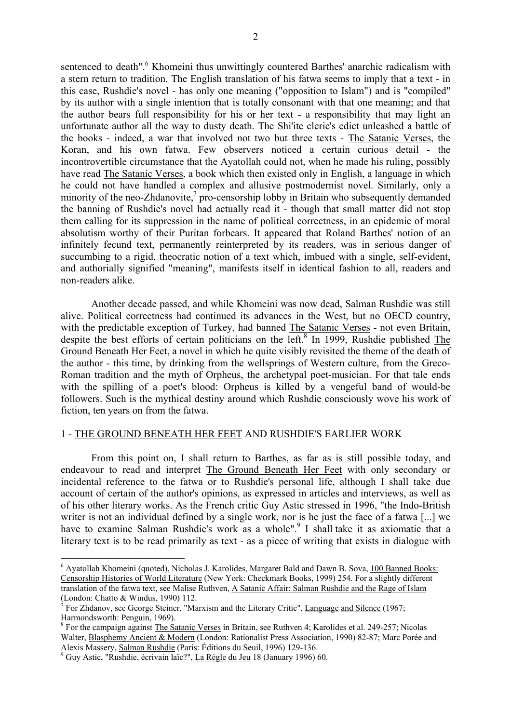sentenced to death".<sup>6</sup> Khomeini thus unwittingly countered Barthes' anarchic radicalism with a stern return to tradition. The English translation of his fatwa seems to imply that a text - in this case, Rushdie's novel - has only one meaning ("opposition to Islam") and is "compiled" by its author with a single intention that is totally consonant with that one meaning; and that the author bears full responsibility for his or her text - a responsibility that may light an unfortunate author all the way to dusty death. The Shi'ite cleric's edict unleashed a battle of the books - indeed, a war that involved not two but three texts - The Satanic Verses, the Koran, and his own fatwa. Few observers noticed a certain curious detail - the incontrovertible circumstance that the Ayatollah could not, when he made his ruling, possibly have read The Satanic Verses, a book which then existed only in English, a language in which he could not have handled a complex and allusive postmodernist novel. Similarly, only a minority of the neo-Zhdanovite, $\frac{7}{1}$  pro-censorship lobby in Britain who subsequently demanded the banning of Rushdie's novel had actually read it - though that small matter did not stop them calling for its suppression in the name of political correctness, in an epidemic of moral absolutism worthy of their Puritan forbears. It appeared that Roland Barthes' notion of an infinitely fecund text, permanently reinterpreted by its readers, was in serious danger of succumbing to a rigid, theocratic notion of a text which, imbued with a single, self-evident, and authorially signified "meaning", manifests itself in identical fashion to all, readers and non-readers alike.

 Another decade passed, and while Khomeini was now dead, Salman Rushdie was still alive. Political correctness had continued its advances in the West, but no OECD country, with the predictable exception of Turkey, had banned The Satanic Verses - not even Britain, despite the best efforts of certain politicians on the left.<sup>8</sup> In 1999, Rushdie published The Ground Beneath Her Feet, a novel in which he quite visibly revisited the theme of the death of the author - this time, by drinking from the wellsprings of Western culture, from the Greco-Roman tradition and the myth of Orpheus, the archetypal poet-musician. For that tale ends with the spilling of a poet's blood: Orpheus is killed by a vengeful band of would-be followers. Such is the mythical destiny around which Rushdie consciously wove his work of fiction, ten years on from the fatwa.

### 1 - THE GROUND BENEATH HER FEET AND RUSHDIE'S EARLIER WORK

 From this point on, I shall return to Barthes, as far as is still possible today, and endeavour to read and interpret The Ground Beneath Her Feet with only secondary or incidental reference to the fatwa or to Rushdie's personal life, although I shall take due account of certain of the author's opinions, as expressed in articles and interviews, as well as of his other literary works. As the French critic Guy Astic stressed in 1996, "the Indo-British writer is not an individual defined by a single work, nor is he just the face of a fatwa [...] we have to examine Salman Rushdie's work as a whole".<sup>9</sup> I shall take it as axiomatic that a literary text is to be read primarily as text - as a piece of writing that exists in dialogue with

<sup>&</sup>lt;sup>6</sup> Ayatollah Khomeini (quoted), Nicholas J. Karolides, Margaret Bald and Dawn B. Sova, 100 Banned Books: Censorship Histories of World Literature (New York: Checkmark Books, 1999) 254. For a slightly different translation of the fatwa text, see Malise Ruthven, A Satanic Affair: Salman Rushdie and the Rage of Islam (London: Chatto & Windus, 1990) 112.

<sup>&</sup>lt;sup>7</sup> For Zhdanov, see George Steiner, "Marxism and the Literary Critic", Language and Silence (1967; Harmondsworth: Penguin, 1969).

<sup>&</sup>lt;sup>8</sup> For the campaign against The Satanic Verses in Britain, see Ruthven 4; Karolides et al. 249-257; Nicolas Walter, Blasphemy Ancient & Modern (London: Rationalist Press Association, 1990) 82-87; Marc Porée and Alexis Massery, Salman Rushdie (Paris: Éditions du Seuil, 1996) 129-136. 9

Guy Astic, "Rushdie, écrivain laïc?", La Règle du Jeu 18 (January 1996) 60.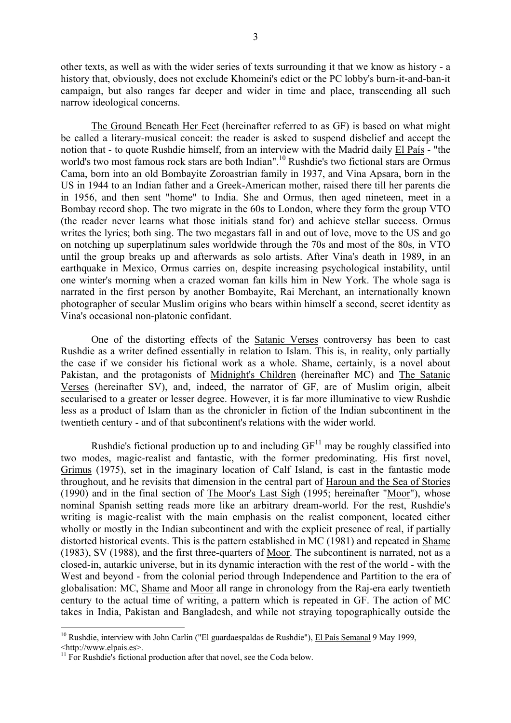other texts, as well as with the wider series of texts surrounding it that we know as history - a history that, obviously, does not exclude Khomeini's edict or the PC lobby's burn-it-and-ban-it campaign, but also ranges far deeper and wider in time and place, transcending all such narrow ideological concerns.

 The Ground Beneath Her Feet (hereinafter referred to as GF) is based on what might be called a literary-musical conceit: the reader is asked to suspend disbelief and accept the notion that - to quote Rushdie himself, from an interview with the Madrid daily El País - "the world's two most famous rock stars are both Indian".<sup>10</sup> Rushdie's two fictional stars are Ormus Cama, born into an old Bombayite Zoroastrian family in 1937, and Vina Apsara, born in the US in 1944 to an Indian father and a Greek-American mother, raised there till her parents die in 1956, and then sent "home" to India. She and Ormus, then aged nineteen, meet in a Bombay record shop. The two migrate in the 60s to London, where they form the group VTO (the reader never learns what those initials stand for) and achieve stellar success. Ormus writes the lyrics; both sing. The two megastars fall in and out of love, move to the US and go on notching up superplatinum sales worldwide through the 70s and most of the 80s, in VTO until the group breaks up and afterwards as solo artists. After Vina's death in 1989, in an earthquake in Mexico, Ormus carries on, despite increasing psychological instability, until one winter's morning when a crazed woman fan kills him in New York. The whole saga is narrated in the first person by another Bombayite, Rai Merchant, an internationally known photographer of secular Muslim origins who bears within himself a second, secret identity as Vina's occasional non-platonic confidant.

 One of the distorting effects of the Satanic Verses controversy has been to cast Rushdie as a writer defined essentially in relation to Islam. This is, in reality, only partially the case if we consider his fictional work as a whole. Shame, certainly, is a novel about Pakistan, and the protagonists of Midnight's Children (hereinafter MC) and The Satanic Verses (hereinafter SV), and, indeed, the narrator of GF, are of Muslim origin, albeit secularised to a greater or lesser degree. However, it is far more illuminative to view Rushdie less as a product of Islam than as the chronicler in fiction of the Indian subcontinent in the twentieth century - and of that subcontinent's relations with the wider world.

Rushdie's fictional production up to and including  $GF<sup>11</sup>$  may be roughly classified into two modes, magic-realist and fantastic, with the former predominating. His first novel, Grimus (1975), set in the imaginary location of Calf Island, is cast in the fantastic mode throughout, and he revisits that dimension in the central part of Haroun and the Sea of Stories (1990) and in the final section of The Moor's Last Sigh (1995; hereinafter "Moor"), whose nominal Spanish setting reads more like an arbitrary dream-world. For the rest, Rushdie's writing is magic-realist with the main emphasis on the realist component, located either wholly or mostly in the Indian subcontinent and with the explicit presence of real, if partially distorted historical events. This is the pattern established in MC (1981) and repeated in Shame (1983), SV (1988), and the first three-quarters of Moor. The subcontinent is narrated, not as a closed-in, autarkic universe, but in its dynamic interaction with the rest of the world - with the West and beyond - from the colonial period through Independence and Partition to the era of globalisation: MC, Shame and Moor all range in chronology from the Raj-era early twentieth century to the actual time of writing, a pattern which is repeated in GF. The action of MC takes in India, Pakistan and Bangladesh, and while not straying topographically outside the

<sup>&</sup>lt;sup>10</sup> Rushdie, interview with John Carlin ("El guardaespaldas de Rushdie"), El País Semanal 9 May 1999, <http://www.elpais.es>.

 $11$  For Rushdie's fictional production after that novel, see the Coda below.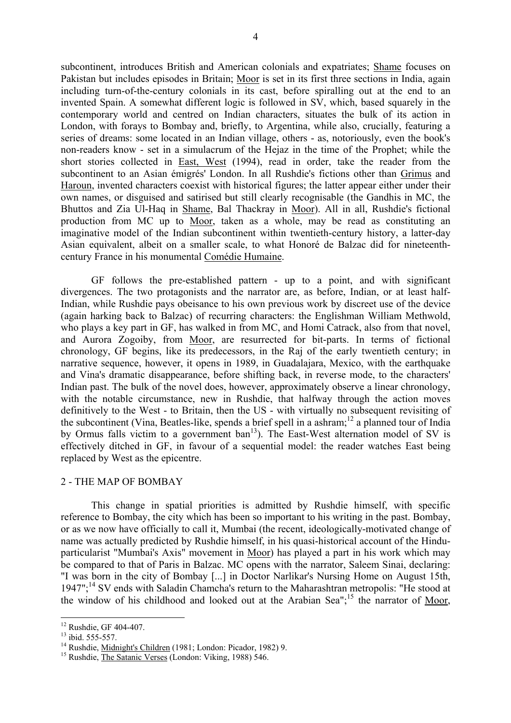subcontinent, introduces British and American colonials and expatriates; Shame focuses on Pakistan but includes episodes in Britain; Moor is set in its first three sections in India, again including turn-of-the-century colonials in its cast, before spiralling out at the end to an invented Spain. A somewhat different logic is followed in SV, which, based squarely in the contemporary world and centred on Indian characters, situates the bulk of its action in London, with forays to Bombay and, briefly, to Argentina, while also, crucially, featuring a series of dreams: some located in an Indian village, others - as, notoriously, even the book's non-readers know - set in a simulacrum of the Hejaz in the time of the Prophet; while the short stories collected in East, West (1994), read in order, take the reader from the subcontinent to an Asian émigrés' London. In all Rushdie's fictions other than Grimus and Haroun, invented characters coexist with historical figures; the latter appear either under their own names, or disguised and satirised but still clearly recognisable (the Gandhis in MC, the Bhuttos and Zia Ul-Haq in Shame, Bal Thackray in Moor). All in all, Rushdie's fictional production from MC up to Moor, taken as a whole, may be read as constituting an imaginative model of the Indian subcontinent within twentieth-century history, a latter-day Asian equivalent, albeit on a smaller scale, to what Honoré de Balzac did for nineteenthcentury France in his monumental Comédie Humaine.

 GF follows the pre-established pattern - up to a point, and with significant divergences. The two protagonists and the narrator are, as before, Indian, or at least half-Indian, while Rushdie pays obeisance to his own previous work by discreet use of the device (again harking back to Balzac) of recurring characters: the Englishman William Methwold, who plays a key part in GF, has walked in from MC, and Homi Catrack, also from that novel, and Aurora Zogoiby, from Moor, are resurrected for bit-parts. In terms of fictional chronology, GF begins, like its predecessors, in the Raj of the early twentieth century; in narrative sequence, however, it opens in 1989, in Guadalajara, Mexico, with the earthquake and Vina's dramatic disappearance, before shifting back, in reverse mode, to the characters' Indian past. The bulk of the novel does, however, approximately observe a linear chronology, with the notable circumstance, new in Rushdie, that halfway through the action moves definitively to the West - to Britain, then the US - with virtually no subsequent revisiting of the subcontinent (Vina, Beatles-like, spends a brief spell in a ashram;<sup>12</sup> a planned tour of India by Ormus falls victim to a government ban<sup>13</sup>). The East-West alternation model of SV is effectively ditched in GF, in favour of a sequential model: the reader watches East being replaced by West as the epicentre.

## 2 - THE MAP OF BOMBAY

 This change in spatial priorities is admitted by Rushdie himself, with specific reference to Bombay, the city which has been so important to his writing in the past. Bombay, or as we now have officially to call it, Mumbai (the recent, ideologically-motivated change of name was actually predicted by Rushdie himself, in his quasi-historical account of the Hinduparticularist "Mumbai's Axis" movement in Moor) has played a part in his work which may be compared to that of Paris in Balzac. MC opens with the narrator, Saleem Sinai, declaring: "I was born in the city of Bombay [...] in Doctor Narlikar's Nursing Home on August 15th, 1947";<sup>14</sup> SV ends with Saladin Chamcha's return to the Maharashtran metropolis: "He stood at the window of his childhood and looked out at the Arabian Sea";<sup>15</sup> the narrator of Moor,

<sup>&</sup>lt;sup>12</sup> Rushdie, GF 404-407.

<sup>&</sup>lt;sup>13</sup> ibid. 555-557.<br><sup>14</sup> Rushdie, <u>Midnight's Children</u> (1981; London: Picador, 1982) 9.

 $15$  Rushdie, The Satanic Verses (London: Viking, 1988) 546.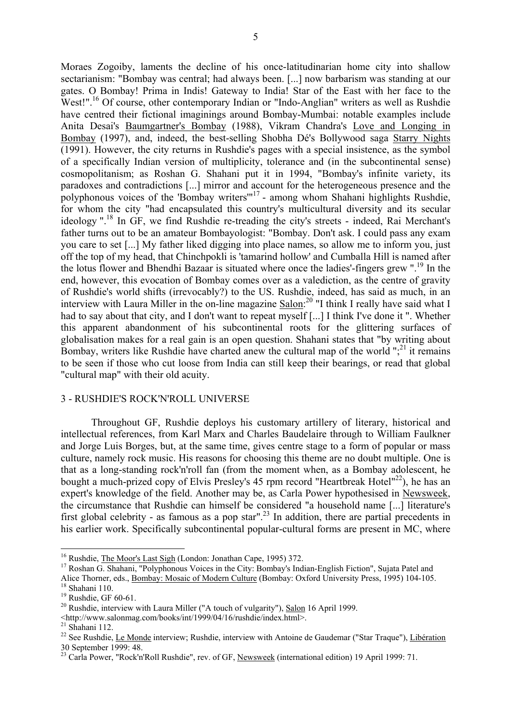Moraes Zogoiby, laments the decline of his once-latitudinarian home city into shallow sectarianism: "Bombay was central; had always been. [...] now barbarism was standing at our gates. O Bombay! Prima in Indis! Gateway to India! Star of the East with her face to the West!".<sup>16</sup> Of course, other contemporary Indian or "Indo-Anglian" writers as well as Rushdie have centred their fictional imaginings around Bombay-Mumbai: notable examples include Anita Desai's Baumgartner's Bombay (1988), Vikram Chandra's Love and Longing in Bombay (1997), and, indeed, the best-selling Shobha Dé's Bollywood saga Starry Nights (1991). However, the city returns in Rushdie's pages with a special insistence, as the symbol of a specifically Indian version of multiplicity, tolerance and (in the subcontinental sense) cosmopolitanism; as Roshan G. Shahani put it in 1994, "Bombay's infinite variety, its paradoxes and contradictions [...] mirror and account for the heterogeneous presence and the polyphonous voices of the 'Bombay writers'"17 - among whom Shahani highlights Rushdie, for whom the city "had encapsulated this country's multicultural diversity and its secular ideology ".<sup>18</sup> In GF, we find Rushdie re-treading the city's streets - indeed, Rai Merchant's father turns out to be an amateur Bombayologist: "Bombay. Don't ask. I could pass any exam you care to set [...] My father liked digging into place names, so allow me to inform you, just off the top of my head, that Chinchpokli is 'tamarind hollow' and Cumballa Hill is named after the lotus flower and Bhendhi Bazaar is situated where once the ladies'-fingers grew ".19 In the end, however, this evocation of Bombay comes over as a valediction, as the centre of gravity of Rushdie's world shifts (irrevocably?) to the US. Rushdie, indeed, has said as much, in an interview with Laura Miller in the on-line magazine  $Salon$ <sup>20</sup> "I think I really have said what I had to say about that city, and I don't want to repeat myself [...] I think I've done it ". Whether this apparent abandonment of his subcontinental roots for the glittering surfaces of globalisation makes for a real gain is an open question. Shahani states that "by writing about Bombay, writers like Rushdie have charted anew the cultural map of the world " $\cdot$ <sup>21</sup> it remains to be seen if those who cut loose from India can still keep their bearings, or read that global "cultural map" with their old acuity.

## 3 - RUSHDIE'S ROCK'N'ROLL UNIVERSE

 Throughout GF, Rushdie deploys his customary artillery of literary, historical and intellectual references, from Karl Marx and Charles Baudelaire through to William Faulkner and Jorge Luis Borges, but, at the same time, gives centre stage to a form of popular or mass culture, namely rock music. His reasons for choosing this theme are no doubt multiple. One is that as a long-standing rock'n'roll fan (from the moment when, as a Bombay adolescent, he bought a much-prized copy of Elvis Presley's 45 rpm record "Heartbreak Hotel"<sup>22</sup>), he has an expert's knowledge of the field. Another may be, as Carla Power hypothesised in Newsweek, the circumstance that Rushdie can himself be considered "a household name [...] literature's first global celebrity - as famous as a pop star".<sup>23</sup> In addition, there are partial precedents in his earlier work. Specifically subcontinental popular-cultural forms are present in MC, where

<sup>&</sup>lt;sup>16</sup> Rushdie, <u>The Moor's Last Sigh</u> (London: Jonathan Cape, 1995) 372.<br><sup>17</sup> Roshan G. Shahani, "Polyphonous Voices in the City: Bombay's Indian-English Fiction", Sujata Patel and Alice Thorner, eds., <u>Bombay: Mosaic of Modern Culture</u> (Bombay: Oxford University Press, 1995) 104-105.<br><sup>18</sup> Shahani 110.

 $19$  Rushdie, GF 60-61.

<sup>&</sup>lt;sup>20</sup> Rushdie, interview with Laura Miller ("A touch of vulgarity"), Salon 16 April 1999.

<sup>&</sup>lt;http://www.salonmag.com/books/int/1999/04/16/rushdie/index.html>.

 $21$  Shahani 112.

<sup>&</sup>lt;sup>22</sup> See Rushdie, Le Monde interview; Rushdie, interview with Antoine de Gaudemar ("Star Traque"), Libération 30 September 1999: 48.

<sup>&</sup>lt;sup>23</sup> Carla Power, "Rock'n'Roll Rushdie", rev. of GF, <u>Newsweek</u> (international edition) 19 April 1999: 71.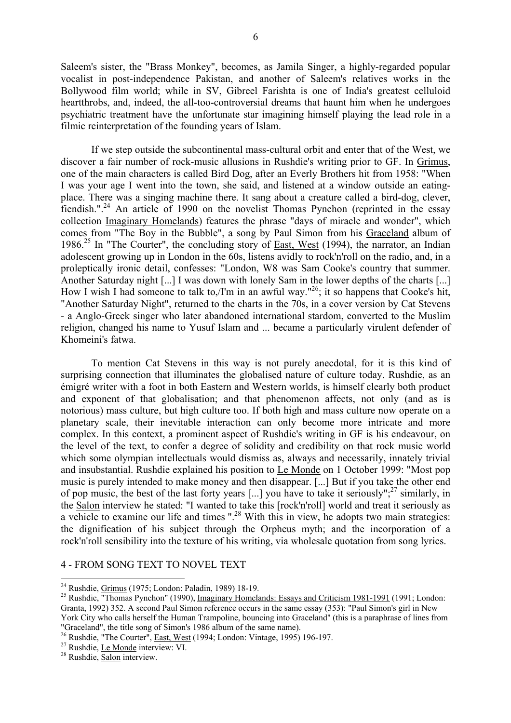Saleem's sister, the "Brass Monkey", becomes, as Jamila Singer, a highly-regarded popular vocalist in post-independence Pakistan, and another of Saleem's relatives works in the Bollywood film world; while in SV, Gibreel Farishta is one of India's greatest celluloid heartthrobs, and, indeed, the all-too-controversial dreams that haunt him when he undergoes psychiatric treatment have the unfortunate star imagining himself playing the lead role in a filmic reinterpretation of the founding years of Islam.

 If we step outside the subcontinental mass-cultural orbit and enter that of the West, we discover a fair number of rock-music allusions in Rushdie's writing prior to GF. In Grimus, one of the main characters is called Bird Dog, after an Everly Brothers hit from 1958: "When I was your age I went into the town, she said, and listened at a window outside an eatingplace. There was a singing machine there. It sang about a creature called a bird-dog, clever, fiendish.".<sup>24</sup> An article of 1990 on the novelist Thomas Pynchon (reprinted in the essay collection Imaginary Homelands) features the phrase "days of miracle and wonder", which comes from "The Boy in the Bubble", a song by Paul Simon from his Graceland album of 1986.<sup>25</sup> In "The Courter", the concluding story of East, West (1994), the narrator, an Indian adolescent growing up in London in the 60s, listens avidly to rock'n'roll on the radio, and, in a proleptically ironic detail, confesses: "London, W8 was Sam Cooke's country that summer. Another Saturday night [...] I was down with lonely Sam in the lower depths of the charts [...] How I wish I had someone to talk to,/I'm in an awful way."<sup>26</sup>; it so happens that Cooke's hit, "Another Saturday Night", returned to the charts in the 70s, in a cover version by Cat Stevens - a Anglo-Greek singer who later abandoned international stardom, converted to the Muslim religion, changed his name to Yusuf Islam and ... became a particularly virulent defender of Khomeini's fatwa.

 To mention Cat Stevens in this way is not purely anecdotal, for it is this kind of surprising connection that illuminates the globalised nature of culture today. Rushdie, as an émigré writer with a foot in both Eastern and Western worlds, is himself clearly both product and exponent of that globalisation; and that phenomenon affects, not only (and as is notorious) mass culture, but high culture too. If both high and mass culture now operate on a planetary scale, their inevitable interaction can only become more intricate and more complex. In this context, a prominent aspect of Rushdie's writing in GF is his endeavour, on the level of the text, to confer a degree of solidity and credibility on that rock music world which some olympian intellectuals would dismiss as, always and necessarily, innately trivial and insubstantial. Rushdie explained his position to Le Monde on 1 October 1999: "Most pop music is purely intended to make money and then disappear. [...] But if you take the other end of pop music, the best of the last forty years [...] you have to take it seriously";  $^{27}$  similarly, in the Salon interview he stated: "I wanted to take this [rock'n'roll] world and treat it seriously as a vehicle to examine our life and times ".<sup>28</sup> With this in view, he adopts two main strategies: the dignification of his subject through the Orpheus myth; and the incorporation of a rock'n'roll sensibility into the texture of his writing, via wholesale quotation from song lyrics.

### 4 - FROM SONG TEXT TO NOVEL TEXT

<sup>&</sup>lt;sup>24</sup> Rushdie, *Grimus* (1975; London: Paladin, 1989) 18-19.<br><sup>25</sup> Rushdie, "Thomas Pynchon" (1990), <u>Imaginary Homelands: Essays and Criticism 1981-1991</u> (1991; London: Granta, 1992) 352. A second Paul Simon reference occurs in the same essay (353): "Paul Simon's girl in New York City who calls herself the Human Trampoline, bouncing into Graceland" (this is a paraphrase of lines from "Graceland", the title song of Simon's 1986 album of the same name).

<sup>&</sup>lt;sup>26</sup> Rushdie, "The Courter", <u>East, West</u> (1994; London: Vintage, 1995) 196-197.<br><sup>27</sup> Rushdie, <u>Le Monde</u> interview: VI.<br><sup>28</sup> Rushdie, Salon interview.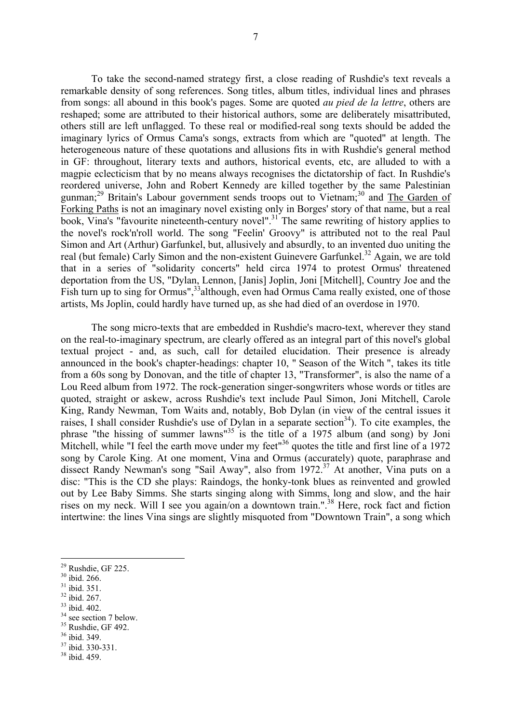To take the second-named strategy first, a close reading of Rushdie's text reveals a remarkable density of song references. Song titles, album titles, individual lines and phrases from songs: all abound in this book's pages. Some are quoted *au pied de la lettre*, others are reshaped; some are attributed to their historical authors, some are deliberately misattributed, others still are left unflagged. To these real or modified-real song texts should be added the imaginary lyrics of Ormus Cama's songs, extracts from which are "quoted" at length. The heterogeneous nature of these quotations and allusions fits in with Rushdie's general method in GF: throughout, literary texts and authors, historical events, etc, are alluded to with a magpie eclecticism that by no means always recognises the dictatorship of fact. In Rushdie's reordered universe, John and Robert Kennedy are killed together by the same Palestinian gunman;<sup>29</sup> Britain's Labour government sends troops out to Vietnam;<sup>30</sup> and The Garden of Forking Paths is not an imaginary novel existing only in Borges' story of that name, but a real book, Vina's "favourite nineteenth-century novel".<sup>31</sup> The same rewriting of history applies to the novel's rock'n'roll world. The song "Feelin' Groovy" is attributed not to the real Paul Simon and Art (Arthur) Garfunkel, but, allusively and absurdly, to an invented duo uniting the real (but female) Carly Simon and the non-existent Guinevere Garfunkel.<sup>32</sup> Again, we are told that in a series of "solidarity concerts" held circa 1974 to protest Ormus' threatened deportation from the US, "Dylan, Lennon, [Janis] Joplin, Joni [Mitchell], Country Joe and the Fish turn up to sing for Ormus",<sup>33</sup>although, even had Ormus Cama really existed, one of those artists, Ms Joplin, could hardly have turned up, as she had died of an overdose in 1970.

 The song micro-texts that are embedded in Rushdie's macro-text, wherever they stand on the real-to-imaginary spectrum, are clearly offered as an integral part of this novel's global textual project - and, as such, call for detailed elucidation. Their presence is already announced in the book's chapter-headings: chapter 10, " Season of the Witch ", takes its title from a 60s song by Donovan, and the title of chapter 13, "Transformer", is also the name of a Lou Reed album from 1972. The rock-generation singer-songwriters whose words or titles are quoted, straight or askew, across Rushdie's text include Paul Simon, Joni Mitchell, Carole King, Randy Newman, Tom Waits and, notably, Bob Dylan (in view of the central issues it raises, I shall consider Rushdie's use of Dylan in a separate section<sup>34</sup>). To cite examples, the phrase "the hissing of summer lawns"<sup>35</sup> is the title of a 1975 album (and song) by Joni Mitchell, while "I feel the earth move under my feet"<sup>36</sup> quotes the title and first line of a 1972 song by Carole King. At one moment, Vina and Ormus (accurately) quote, paraphrase and dissect Randy Newman's song "Sail Away", also from 1972.<sup>37</sup> At another, Vina puts on a disc: "This is the CD she plays: Raindogs, the honky-tonk blues as reinvented and growled out by Lee Baby Simms. She starts singing along with Simms, long and slow, and the hair rises on my neck. Will I see you again/on a downtown train.".<sup>38</sup> Here, rock fact and fiction intertwine: the lines Vina sings are slightly misquoted from "Downtown Train", a song which

- $32$  ibid. 267.
- 33 ibid. 402.
- $34$  see section 7 below.
- <sup>35</sup> Rushdie, GF 492.
- 36 ibid. 349.
- 37 ibid. 330-331.
- $38$  ibid. 459

 $29$  Rushdie, GF 225.

 $30$  ibid. 266.

<sup>31</sup> ibid. 351.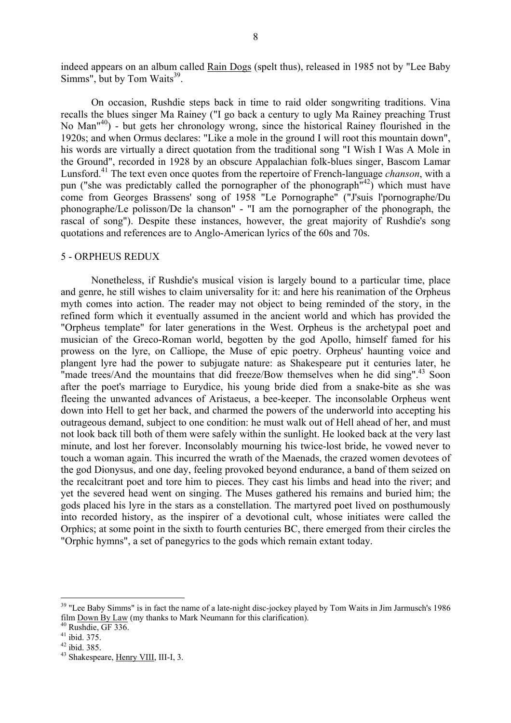indeed appears on an album called Rain Dogs (spelt thus), released in 1985 not by "Lee Baby Simms", but by Tom Waits $^{39}$ .

 On occasion, Rushdie steps back in time to raid older songwriting traditions. Vina recalls the blues singer Ma Rainey ("I go back a century to ugly Ma Rainey preaching Trust No Man"40) - but gets her chronology wrong, since the historical Rainey flourished in the 1920s; and when Ormus declares: "Like a mole in the ground I will root this mountain down", his words are virtually a direct quotation from the traditional song "I Wish I Was A Mole in the Ground", recorded in 1928 by an obscure Appalachian folk-blues singer, Bascom Lamar Lunsford.41 The text even once quotes from the repertoire of French-language *chanson*, with a pun ("she was predictably called the pornographer of the phonograph"<sup>42</sup>) which must have come from Georges Brassens' song of 1958 "Le Pornographe" ("J'suis l'pornographe/Du phonographe/Le polisson/De la chanson" - "I am the pornographer of the phonograph, the rascal of song"). Despite these instances, however, the great majority of Rushdie's song quotations and references are to Anglo-American lyrics of the 60s and 70s.

### 5 - ORPHEUS REDUX

 Nonetheless, if Rushdie's musical vision is largely bound to a particular time, place and genre, he still wishes to claim universality for it: and here his reanimation of the Orpheus myth comes into action. The reader may not object to being reminded of the story, in the refined form which it eventually assumed in the ancient world and which has provided the "Orpheus template" for later generations in the West. Orpheus is the archetypal poet and musician of the Greco-Roman world, begotten by the god Apollo, himself famed for his prowess on the lyre, on Calliope, the Muse of epic poetry. Orpheus' haunting voice and plangent lyre had the power to subjugate nature: as Shakespeare put it centuries later, he "made trees/And the mountains that did freeze/Bow themselves when he did sing".<sup>43</sup> Soon after the poet's marriage to Eurydice, his young bride died from a snake-bite as she was fleeing the unwanted advances of Aristaeus, a bee-keeper. The inconsolable Orpheus went down into Hell to get her back, and charmed the powers of the underworld into accepting his outrageous demand, subject to one condition: he must walk out of Hell ahead of her, and must not look back till both of them were safely within the sunlight. He looked back at the very last minute, and lost her forever. Inconsolably mourning his twice-lost bride, he vowed never to touch a woman again. This incurred the wrath of the Maenads, the crazed women devotees of the god Dionysus, and one day, feeling provoked beyond endurance, a band of them seized on the recalcitrant poet and tore him to pieces. They cast his limbs and head into the river; and yet the severed head went on singing. The Muses gathered his remains and buried him; the gods placed his lyre in the stars as a constellation. The martyred poet lived on posthumously into recorded history, as the inspirer of a devotional cult, whose initiates were called the Orphics; at some point in the sixth to fourth centuries BC, there emerged from their circles the "Orphic hymns", a set of panegyrics to the gods which remain extant today.

<sup>&</sup>lt;sup>39</sup> "Lee Baby Simms" is in fact the name of a late-night disc-jockey played by Tom Waits in Jim Jarmusch's 1986 film <u>Down By Law</u> (my thanks to Mark Neumann for this clarification).<br><sup>40</sup> Rushdie, GF 336.

<sup>41</sup> ibid. 375.

<sup>42</sup> ibid. 385.

<sup>43</sup> Shakespeare, Henry VIII, III-I, 3.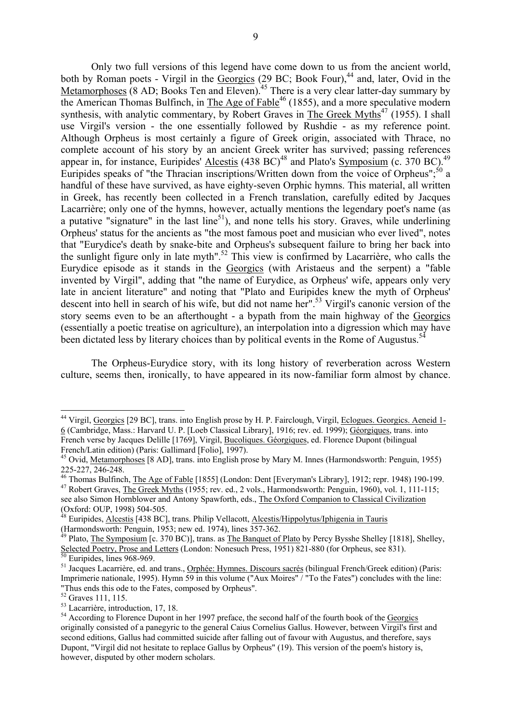9

 Only two full versions of this legend have come down to us from the ancient world, both by Roman poets - Virgil in the Georgics (29 BC; Book Four),<sup>44</sup> and, later, Ovid in the Metamorphoses  $(8 \text{ AD}; \text{Books Ten} \text{ and } \text{Eleven})$ <sup>45</sup> There is a very clear latter-day summary by the American Thomas Bulfinch, in The Age of Fable<sup>46</sup> (1855), and a more speculative modern synthesis, with analytic commentary, by Robert Graves in The Greek Myths $47$  (1955). I shall use Virgil's version - the one essentially followed by Rushdie - as my reference point. Although Orpheus is most certainly a figure of Greek origin, associated with Thrace, no complete account of his story by an ancient Greek writer has survived; passing references appear in, for instance, Euripides' Alcestis (438 BC)<sup>48</sup> and Plato's Symposium (c. 370 BC).<sup>49</sup> Euripides speaks of "the Thracian inscriptions/Written down from the voice of Orpheus";<sup>50</sup> a handful of these have survived, as have eighty-seven Orphic hymns. This material, all written in Greek, has recently been collected in a French translation, carefully edited by Jacques Lacarrière; only one of the hymns, however, actually mentions the legendary poet's name (as a putative "signature" in the last  $\text{line}^{51}$ ), and none tells his story. Graves, while underlining Orpheus' status for the ancients as "the most famous poet and musician who ever lived", notes that "Eurydice's death by snake-bite and Orpheus's subsequent failure to bring her back into the sunlight figure only in late myth".<sup>52</sup> This view is confirmed by Lacarrière, who calls the Eurydice episode as it stands in the Georgics (with Aristaeus and the serpent) a "fable invented by Virgil", adding that "the name of Eurydice, as Orpheus' wife, appears only very late in ancient literature" and noting that "Plato and Euripides knew the myth of Orpheus' descent into hell in search of his wife, but did not name her<sup>".53</sup> Virgil's canonic version of the story seems even to be an afterthought - a bypath from the main highway of the Georgics (essentially a poetic treatise on agriculture), an interpolation into a digression which may have been dictated less by literary choices than by political events in the Rome of Augustus.<sup>54</sup>

 The Orpheus-Eurydice story, with its long history of reverberation across Western culture, seems then, ironically, to have appeared in its now-familiar form almost by chance.

<sup>&</sup>lt;sup>44</sup> Virgil, Georgics [29 BC], trans. into English prose by H. P. Fairclough, Virgil, Eclogues. Georgics. Aeneid 1-6 (Cambridge, Mass.: Harvard U. P. [Loeb Classical Library], 1916; rev. ed. 1999); Géorgiques, trans. into French verse by Jacques Delille [1769], Virgil, Bucoliques. Géorgiques, ed. Florence Dupont (bilingual

French/Latin edition) (Paris: Gallimard [Folio], 1997).<br><sup>45</sup> Ovid, Metamorphoses [8 AD], trans. into English prose by Mary M. Innes (Harmondsworth: Penguin, 1955) 225-227, 246-248.

<sup>&</sup>lt;sup>46</sup> Thomas Bulfinch, <u>The Age of Fable</u> [1855] (London: Dent [Everyman's Library], 1912; repr. 1948) 190-199.<br><sup>47</sup> Robert Graves, <u>The Greek Myths</u> (1955; rev. ed., 2 vols., Harmondsworth: Penguin, 1960), vol. 1, 111-115

see also Simon Hornblower and Antony Spawforth, eds., The Oxford Companion to Classical Civilization (Oxford: OUP, 1998) 504-505.

<sup>&</sup>lt;sup>48</sup> Euripides, Alcestis [438 BC], trans. Philip Vellacott, Alcestis/Hippolytus/Iphigenia in Tauris (Harmondsworth: Penguin, 1953; new ed. 1974), lines 357-362.

<sup>&</sup>lt;sup>49</sup> Plato, <u>The Symposium</u> [c. 370 BC)], trans. as The Banquet of Plato by Percy Bysshe Shelley [1818], Shelley, Selected Poetry, Prose and Letters (London: Nonesuch Press, 1951) 821-880 (for Orpheus, see 831).<br><sup>50</sup> Euripides, lines 968-969.

<sup>&</sup>lt;sup>51</sup> Jacques Lacarrière, ed. and trans., Orphée: Hymnes. Discours sacrés (bilingual French/Greek edition) (Paris: Imprimerie nationale, 1995). Hymn 59 in this volume ("Aux Moires" / "To the Fates") concludes with the line: "Thus ends this ode to the Fates, composed by Orpheus".

 $52$  Graves 111, 115.

<sup>53</sup> Lacarrière, introduction, 17, 18.

<sup>&</sup>lt;sup>54</sup> According to Florence Dupont in her 1997 preface, the second half of the fourth book of the Georgics originally consisted of a panegyric to the general Caius Cornelius Gallus. However, between Virgil's first and second editions, Gallus had committed suicide after falling out of favour with Augustus, and therefore, says Dupont, "Virgil did not hesitate to replace Gallus by Orpheus" (19). This version of the poem's history is, however, disputed by other modern scholars.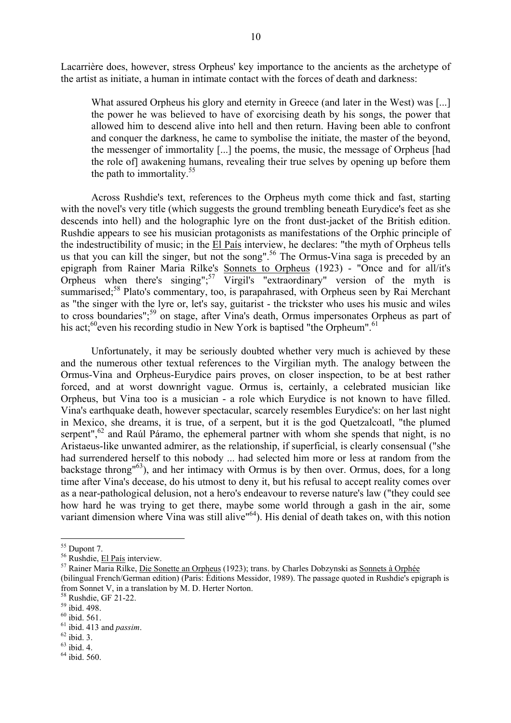Lacarrière does, however, stress Orpheus' key importance to the ancients as the archetype of the artist as initiate, a human in intimate contact with the forces of death and darkness:

What assured Orpheus his glory and eternity in Greece (and later in the West) was [...] the power he was believed to have of exorcising death by his songs, the power that allowed him to descend alive into hell and then return. Having been able to confront and conquer the darkness, he came to symbolise the initiate, the master of the beyond, the messenger of immortality [...] the poems, the music, the message of Orpheus [had the role of] awakening humans, revealing their true selves by opening up before them the path to immortality.<sup>55</sup>

 Across Rushdie's text, references to the Orpheus myth come thick and fast, starting with the novel's very title (which suggests the ground trembling beneath Eurydice's feet as she descends into hell) and the holographic lyre on the front dust-jacket of the British edition. Rushdie appears to see his musician protagonists as manifestations of the Orphic principle of the indestructibility of music; in the El País interview, he declares: "the myth of Orpheus tells us that you can kill the singer, but not the song".<sup>56</sup> The Ormus-Vina saga is preceded by an epigraph from Rainer Maria Rilke's Sonnets to Orpheus (1923) - "Once and for all/it's Orpheus when there's singing";<sup>57</sup> Virgil's "extraordinary" version of the myth is summarised;<sup>58</sup> Plato's commentary, too, is parapahrased, with Orpheus seen by Rai Merchant as "the singer with the lyre or, let's say, guitarist - the trickster who uses his music and wiles to cross boundaries";59 on stage, after Vina's death, Ormus impersonates Orpheus as part of his act;<sup>60</sup>even his recording studio in New York is baptised "the Orpheum".<sup>61</sup>

 Unfortunately, it may be seriously doubted whether very much is achieved by these and the numerous other textual references to the Virgilian myth. The analogy between the Ormus-Vina and Orpheus-Eurydice pairs proves, on closer inspection, to be at best rather forced, and at worst downright vague. Ormus is, certainly, a celebrated musician like Orpheus, but Vina too is a musician - a role which Eurydice is not known to have filled. Vina's earthquake death, however spectacular, scarcely resembles Eurydice's: on her last night in Mexico, she dreams, it is true, of a serpent, but it is the god Quetzalcoatl, "the plumed serpent", $62$  and Raúl Páramo, the ephemeral partner with whom she spends that night, is no Aristaeus-like unwanted admirer, as the relationship, if superficial, is clearly consensual ("she had surrendered herself to this nobody ... had selected him more or less at random from the backstage throng"63), and her intimacy with Ormus is by then over. Ormus, does, for a long time after Vina's decease, do his utmost to deny it, but his refusal to accept reality comes over as a near-pathological delusion, not a hero's endeavour to reverse nature's law ("they could see how hard he was trying to get there, maybe some world through a gash in the air, some variant dimension where Vina was still alive"64). His denial of death takes on, with this notion

 $^{55}$  Dupont 7.<br><sup>56</sup> Rushdie, <u>El País</u> interview.

 $57$  Rainer Maria Rilke, Die Sonette an Orpheus (1923); trans. by Charles Dobzynski as Sonnets à Orphée (bilingual French/German edition) (Paris: Éditions Messidor, 1989). The passage quoted in Rushdie's epigraph is from Sonnet V, in a translation by M. D. Herter Norton.

<sup>58</sup> Rushdie, GF 21-22.

<sup>59</sup> ibid. 498.

<sup>60</sup> ibid. 561.

 $<sup>61</sup>$  ibid. 413 and *passim*.<br><sup>62</sup> ibid. 3.</sup>

 $63$  ibid. 4.

 $64$  ibid. 560.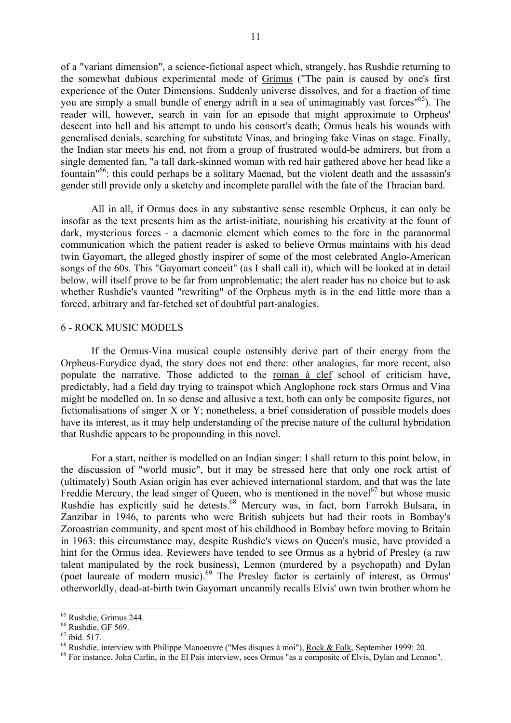of a "variant dimension", a science-fictional aspect which, strangely, has Rushdie returning to the somewhat dubious experimental mode of Grimus ("The pain is caused by one's first experience of the Outer Dimensions. Suddenly universe dissolves, and for a fraction of time you are simply a small bundle of energy adrift in a sea of unimaginably vast forces<sup>"65</sup>). The reader will, however, search in vain for an episode that might approximate to Orpheus' descent into hell and his attempt to undo his consort's death; Ormus heals his wounds with generalised denials, searching for substitute Vinas, and bringing fake Vinas on stage. Finally, the Indian star meets his end, not from a group of frustrated would-be admirers, but from a single demented fan, "a tall dark-skinned woman with red hair gathered above her head like a fountain"66: this could perhaps be a solitary Maenad, but the violent death and the assassin's gender still provide only a sketchy and incomplete parallel with the fate of the Thracian bard.

 All in all, if Ormus does in any substantive sense resemble Orpheus, it can only be insofar as the text presents him as the artist-initiate, nourishing his creativity at the fount of dark, mysterious forces - a daemonic element which comes to the fore in the paranormal communication which the patient reader is asked to believe Ormus maintains with his dead twin Gayomart, the alleged ghostly inspirer of some of the most celebrated Anglo-American songs of the 60s. This "Gayomart conceit" (as I shall call it), which will be looked at in detail below, will itself prove to be far from unproblematic; the alert reader has no choice but to ask whether Rushdie's vaunted "rewriting" of the Orpheus myth is in the end little more than a forced, arbitrary and far-fetched set of doubtful part-analogies.

## 6 - ROCK MUSIC MODELS

 If the Ormus-Vina musical couple ostensibly derive part of their energy from the Orpheus-Eurydice dyad, the story does not end there: other analogies, far more recent, also populate the narrative. Those addicted to the roman à clef school of criticism have, predictably, had a field day trying to trainspot which Anglophone rock stars Ormus and Vina might be modelled on. In so dense and allusive a text, both can only be composite figures, not fictionalisations of singer X or Y; nonetheless, a brief consideration of possible models does have its interest, as it may help understanding of the precise nature of the cultural hybridation that Rushdie appears to be propounding in this novel.

 For a start, neither is modelled on an Indian singer: I shall return to this point below, in the discussion of "world music", but it may be stressed here that only one rock artist of (ultimately) South Asian origin has ever achieved international stardom, and that was the late Freddie Mercury, the lead singer of Queen, who is mentioned in the novel<sup>67</sup> but whose music Rushdie has explicitly said he detests.<sup>68</sup> Mercury was, in fact, born Farrokh Bulsara, in Zanzibar in 1946, to parents who were British subjects but had their roots in Bombay's Zoroastrian community, and spent most of his childhood in Bombay before moving to Britain in 1963: this circumstance may, despite Rushdie's views on Queen's music, have provided a hint for the Ormus idea. Reviewers have tended to see Ormus as a hybrid of Presley (a raw talent manipulated by the rock business), Lennon (murdered by a psychopath) and Dylan (poet laureate of modern music).69 The Presley factor is certainly of interest, as Ormus' otherworldly, dead-at-birth twin Gayomart uncannily recalls Elvis' own twin brother whom he

 $<sup>65</sup>$  Rushdie,  $G$ F 569.</sup>

<sup>&</sup>lt;sup>67</sup> ibid. 517.<br><sup>68</sup> Rushdie, interview with Philippe Manoeuvre ("Mes disques à moi"), <u>Rock & Folk</u>, September 1999: 20.

<sup>&</sup>lt;sup>69</sup> For instance, John Carlin, in the El País interview, sees Ormus "as a composite of Elvis, Dylan and Lennon".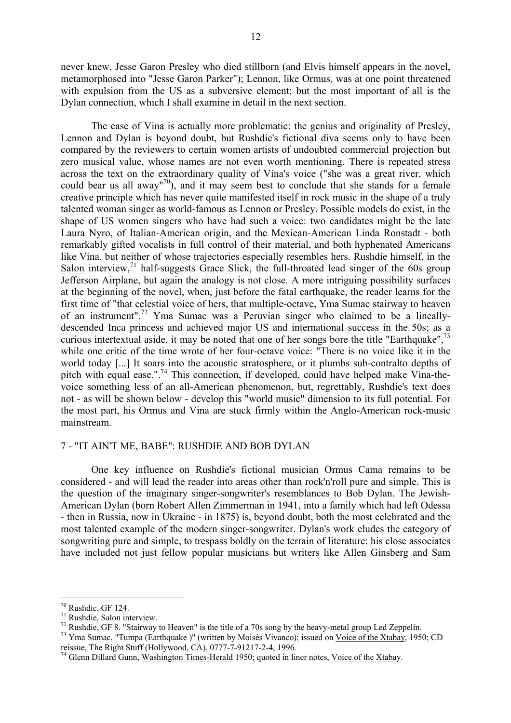never knew, Jesse Garon Presley who died stillborn (and Elvis himself appears in the novel, metamorphosed into "Jesse Garon Parker"); Lennon, like Ormus, was at one point threatened with expulsion from the US as a subversive element; but the most important of all is the Dylan connection, which I shall examine in detail in the next section.

 The case of Vina is actually more problematic: the genius and originality of Presley, Lennon and Dylan is beyond doubt, but Rushdie's fictional diva seems only to have been compared by the reviewers to certain women artists of undoubted commercial projection but zero musical value, whose names are not even worth mentioning. There is repeated stress across the text on the extraordinary quality of Vina's voice ("she was a great river, which could bear us all away<sup> $n^{70}$ </sup>), and it may seem best to conclude that she stands for a female creative principle which has never quite manifested itself in rock music in the shape of a truly talented woman singer as world-famous as Lennon or Presley. Possible models do exist, in the shape of US women singers who have had such a voice: two candidates might be the late Laura Nyro, of Italian-American origin, and the Mexican-American Linda Ronstadt - both remarkably gifted vocalists in full control of their material, and both hyphenated Americans like Vina, but neither of whose trajectories especially resembles hers. Rushdie himself, in the Salon interview,  $\frac{1}{1}$  half-suggests Grace Slick, the full-throated lead singer of the 60s group Jefferson Airplane, but again the analogy is not close. A more intriguing possibility surfaces at the beginning of the novel, when, just before the fatal earthquake, the reader learns for the first time of "that celestial voice of hers, that multiple-octave, Yma Sumac stairway to heaven of an instrument".<sup>72</sup> Yma Sumac was a Peruvian singer who claimed to be a lineallydescended Inca princess and achieved major US and international success in the 50s; as a curious intertextual aside, it may be noted that one of her songs bore the title "Earthquake", $^{73}$ while one critic of the time wrote of her four-octave voice: "There is no voice like it in the world today [...] It soars into the acoustic stratosphere, or it plumbs sub-contralto depths of pitch with equal ease.".<sup>74</sup> This connection, if developed, could have helped make Vina-thevoice something less of an all-American phenomenon, but, regrettably, Rushdie's text does not - as will be shown below - develop this "world music" dimension to its full potential. For the most part, his Ormus and Vina are stuck firmly within the Anglo-American rock-music mainstream.

## 7 - "IT AIN'T ME, BABE": RUSHDIE AND BOB DYLAN

 One key influence on Rushdie's fictional musician Ormus Cama remains to be considered - and will lead the reader into areas other than rock'n'roll pure and simple. This is the question of the imaginary singer-songwriter's resemblances to Bob Dylan. The Jewish-American Dylan (born Robert Allen Zimmerman in 1941, into a family which had left Odessa - then in Russia, now in Ukraine - in 1875) is, beyond doubt, both the most celebrated and the most talented example of the modern singer-songwriter. Dylan's work eludes the category of songwriting pure and simple, to trespass boldly on the terrain of literature: his close associates have included not just fellow popular musicians but writers like Allen Ginsberg and Sam

 $^{70}$  Rushdie, GF 124.<br> $^{71}$  Rushdie, Salon interview.

<sup>&</sup>lt;sup>72</sup> Rushdie,  $\overline{GF 8}$ . "Stairway to Heaven" is the title of a 70s song by the heavy-metal group Led Zeppelin.<br><sup>73</sup> Yma Sumac, "Tumpa (Earthquake )" (written by Moisés Vivanco); issued on <u>Voice of the Xtabay</u>, 1950; CD

reissue, The Right Stuff (Hollywood, CA), 0777-7-91217-2-4, 1996.

<sup>&</sup>lt;sup>74</sup> Glenn Dillard Gunn, Washington Times-Herald 1950; quoted in liner notes, Voice of the Xtabay.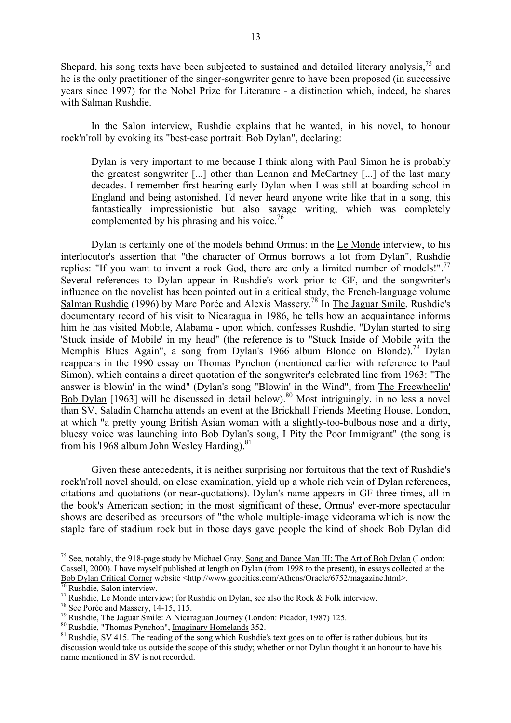Shepard, his song texts have been subjected to sustained and detailed literary analysis,  $75$  and he is the only practitioner of the singer-songwriter genre to have been proposed (in successive years since 1997) for the Nobel Prize for Literature - a distinction which, indeed, he shares with Salman Rushdie.

 In the Salon interview, Rushdie explains that he wanted, in his novel, to honour rock'n'roll by evoking its "best-case portrait: Bob Dylan", declaring:

Dylan is very important to me because I think along with Paul Simon he is probably the greatest songwriter [...] other than Lennon and McCartney [...] of the last many decades. I remember first hearing early Dylan when I was still at boarding school in England and being astonished. I'd never heard anyone write like that in a song, this fantastically impressionistic but also savage writing, which was completely complemented by his phrasing and his voice.<sup>76</sup>

 Dylan is certainly one of the models behind Ormus: in the Le Monde interview, to his interlocutor's assertion that "the character of Ormus borrows a lot from Dylan", Rushdie replies: "If you want to invent a rock God, there are only a limited number of models!".<sup>77</sup> Several references to Dylan appear in Rushdie's work prior to GF, and the songwriter's influence on the novelist has been pointed out in a critical study, the French-language volume Salman Rushdie (1996) by Marc Porée and Alexis Massery.78 In The Jaguar Smile, Rushdie's documentary record of his visit to Nicaragua in 1986, he tells how an acquaintance informs him he has visited Mobile, Alabama - upon which, confesses Rushdie, "Dylan started to sing 'Stuck inside of Mobile' in my head" (the reference is to "Stuck Inside of Mobile with the Memphis Blues Again", a song from Dylan's 1966 album Blonde on Blonde).<sup>79</sup> Dylan reappears in the 1990 essay on Thomas Pynchon (mentioned earlier with reference to Paul Simon), which contains a direct quotation of the songwriter's celebrated line from 1963: "The answer is blowin' in the wind" (Dylan's song "Blowin' in the Wind", from The Freewheelin' Bob Dylan [1963] will be discussed in detail below).<sup>80</sup> Most intriguingly, in no less a novel than SV, Saladin Chamcha attends an event at the Brickhall Friends Meeting House, London, at which "a pretty young British Asian woman with a slightly-too-bulbous nose and a dirty, bluesy voice was launching into Bob Dylan's song, I Pity the Poor Immigrant" (the song is from his 1968 album John Wesley Harding). $81$ 

 Given these antecedents, it is neither surprising nor fortuitous that the text of Rushdie's rock'n'roll novel should, on close examination, yield up a whole rich vein of Dylan references, citations and quotations (or near-quotations). Dylan's name appears in GF three times, all in the book's American section; in the most significant of these, Ormus' ever-more spectacular shows are described as precursors of "the whole multiple-image videorama which is now the staple fare of stadium rock but in those days gave people the kind of shock Bob Dylan did

<sup>&</sup>lt;sup>75</sup> See, notably, the 918-page study by Michael Gray, Song and Dance Man III: The Art of Bob Dylan (London: Cassell, 2000). I have myself published at length on Dylan (from 1998 to the present), in essays collected at the Bob Dylan Critical Corner website <http://www.geocities.com/Athens/Oracle/6752/magazine.html>.<br>
<sup>76</sup> Rushdie, <u>Salon</u> interview.<br>
<sup>77</sup> Rushdie, <u>Le Monde</u> interview; for Rushdie on Dylan, see also the <u>Rock & Folk</u> interv

 $^{80}$  Rushdie, "Thomas Pynchon", Imaginary Homelands 352.<br><sup>81</sup> Rushdie, SV 415. The reading of the song which Rushdie's text goes on to offer is rather dubious, but its discussion would take us outside the scope of this study; whether or not Dylan thought it an honour to have his name mentioned in SV is not recorded.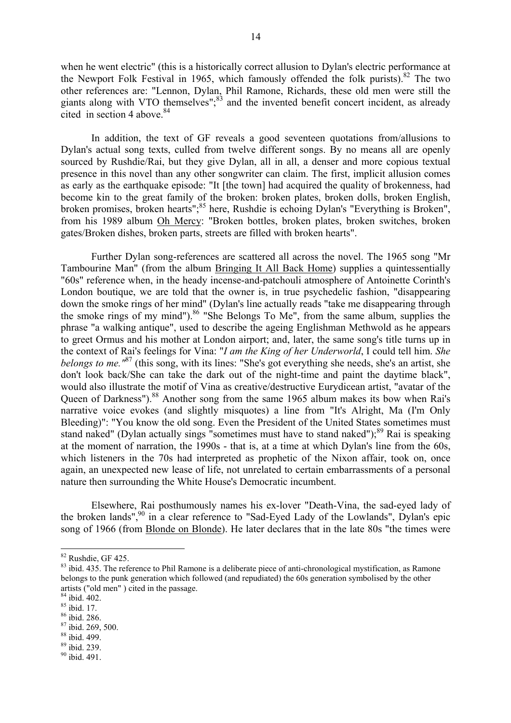when he went electric" (this is a historically correct allusion to Dylan's electric performance at the Newport Folk Festival in 1965, which famously offended the folk purists).<sup>82</sup> The two other references are: "Lennon, Dylan, Phil Ramone, Richards, these old men were still the giants along with VTO themselves"; $^{83}$  and the invented benefit concert incident, as already cited in section 4 above.  $84$ 

In addition, the text of GF reveals a good seventeen quotations from/allusions to Dylan's actual song texts, culled from twelve different songs. By no means all are openly sourced by Rushdie/Rai, but they give Dylan, all in all, a denser and more copious textual presence in this novel than any other songwriter can claim. The first, implicit allusion comes as early as the earthquake episode: "It [the town] had acquired the quality of brokenness, had become kin to the great family of the broken: broken plates, broken dolls, broken English, broken promises, broken hearts";<sup>85</sup> here, Rushdie is echoing Dylan's "Everything is Broken", from his 1989 album Oh Mercy: "Broken bottles, broken plates, broken switches, broken gates/Broken dishes, broken parts, streets are filled with broken hearts".

Further Dylan song-references are scattered all across the novel. The 1965 song "Mr Tambourine Man" (from the album Bringing It All Back Home) supplies a quintessentially "60s" reference when, in the heady incense-and-patchouli atmosphere of Antoinette Corinth's London boutique, we are told that the owner is, in true psychedelic fashion, "disappearing down the smoke rings of her mind" (Dylan's line actually reads "take me disappearing through the smoke rings of my mind").<sup>86</sup> "She Belongs To Me", from the same album, supplies the phrase "a walking antique", used to describe the ageing Englishman Methwold as he appears to greet Ormus and his mother at London airport; and, later, the same song's title turns up in the context of Rai's feelings for Vina: "*I am the King of her Underworld*, I could tell him. *She belongs to me."*87 (this song, with its lines: "She's got everything she needs, she's an artist, she don't look back/She can take the dark out of the night-time and paint the daytime black", would also illustrate the motif of Vina as creative/destructive Eurydicean artist, "avatar of the Queen of Darkness").<sup>88</sup> Another song from the same 1965 album makes its bow when Rai's narrative voice evokes (and slightly misquotes) a line from "It's Alright, Ma (I'm Only Bleeding)": "You know the old song. Even the President of the United States sometimes must stand naked" (Dylan actually sings "sometimes must have to stand naked"); $89$  Rai is speaking at the moment of narration, the 1990s - that is, at a time at which Dylan's line from the 60s, which listeners in the 70s had interpreted as prophetic of the Nixon affair, took on, once again, an unexpected new lease of life, not unrelated to certain embarrassments of a personal nature then surrounding the White House's Democratic incumbent.

Elsewhere, Rai posthumously names his ex-lover "Death-Vina, the sad-eyed lady of the broken lands",<sup>90</sup> in a clear reference to "Sad-Eyed Lady of the Lowlands", Dylan's epic song of 1966 (from Blonde on Blonde). He later declares that in the late 80s "the times were

- 88 ibid. 499.
- 89 ibid. 239.
- $90$  ibid. 491.

<sup>82</sup> Rushdie, GF 425.

<sup>&</sup>lt;sup>83</sup> ibid. 435. The reference to Phil Ramone is a deliberate piece of anti-chronological mystification, as Ramone belongs to the punk generation which followed (and repudiated) the 60s generation symbolised by the other artists ("old men" ) cited in the passage.

<sup>84</sup> ibid. 402.

<sup>85</sup> ibid. 17.

<sup>86</sup> ibid. 286.

<sup>87</sup> ibid. 269, 500.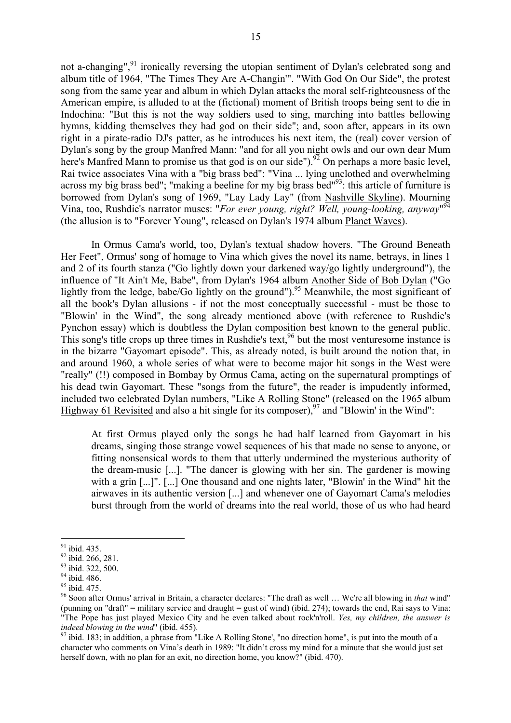not a-changing",<sup>91</sup> ironically reversing the utopian sentiment of Dylan's celebrated song and album title of 1964, "The Times They Are A-Changin'". "With God On Our Side", the protest song from the same year and album in which Dylan attacks the moral self-righteousness of the American empire, is alluded to at the (fictional) moment of British troops being sent to die in Indochina: "But this is not the way soldiers used to sing, marching into battles bellowing hymns, kidding themselves they had god on their side"; and, soon after, appears in its own right in a pirate-radio DJ's patter, as he introduces his next item, the (real) cover version of Dylan's song by the group Manfred Mann: "and for all you night owls and our own dear Mum here's Manfred Mann to promise us that god is on our side").<sup>92</sup> On perhaps a more basic level, Rai twice associates Vina with a "big brass bed": "Vina ... lying unclothed and overwhelming across my big brass bed"; "making a beeline for my big brass bed"<sup>93</sup>; this article of furniture is borrowed from Dylan's song of 1969, "Lay Lady Lay" (from Nashville Skyline). Mourning Vina, too, Rushdie's narrator muses: "*For ever young, right? Well, young-looking, anyway*" 94 (the allusion is to "Forever Young", released on Dylan's 1974 album Planet Waves).

In Ormus Cama's world, too, Dylan's textual shadow hovers. "The Ground Beneath Her Feet", Ormus' song of homage to Vina which gives the novel its name, betrays, in lines 1 and 2 of its fourth stanza ("Go lightly down your darkened way/go lightly underground"), the influence of "It Ain't Me, Babe", from Dylan's 1964 album Another Side of Bob Dylan ("Go lightly from the ledge, babe/Go lightly on the ground").<sup>95</sup> Meanwhile, the most significant of all the book's Dylan allusions - if not the most conceptually successful - must be those to "Blowin' in the Wind", the song already mentioned above (with reference to Rushdie's Pynchon essay) which is doubtless the Dylan composition best known to the general public. This song's title crops up three times in Rushdie's text,<sup>96</sup> but the most venturesome instance is in the bizarre "Gayomart episode". This, as already noted, is built around the notion that, in and around 1960, a whole series of what were to become major hit songs in the West were "really" (!!) composed in Bombay by Ormus Cama, acting on the supernatural promptings of his dead twin Gayomart. These "songs from the future", the reader is impudently informed, included two celebrated Dylan numbers, "Like A Rolling Stone" (released on the 1965 album Highway 61 Revisited and also a hit single for its composer),  $97$  and "Blowin' in the Wind":

At first Ormus played only the songs he had half learned from Gayomart in his dreams, singing those strange vowel sequences of his that made no sense to anyone, or fitting nonsensical words to them that utterly undermined the mysterious authority of the dream-music [...]. "The dancer is glowing with her sin. The gardener is mowing with a grin [...]". [...] One thousand and one nights later, "Blowin' in the Wind" hit the airwaves in its authentic version [...] and whenever one of Gayomart Cama's melodies burst through from the world of dreams into the real world, those of us who had heard

 $91$  ibid. 435.

<sup>&</sup>lt;sup>92</sup> ibid. 266, 281.

<sup>&</sup>lt;sup>93</sup> ibid. 322, 500.

<sup>94</sup> ibid. 486.

<sup>&</sup>lt;sup>95</sup> ibid. 475.

<sup>96</sup> Soon after Ormus' arrival in Britain, a character declares: "The draft as well … We're all blowing in *that* wind" (punning on "draft" = military service and draught = gust of wind) (ibid. 274); towards the end, Rai says to Vina: "The Pope has just played Mexico City and he even talked about rock'n'roll. *Yes, my children, the answer is indeed blowing in the wind*" (ibid. 455).<br><sup>97</sup> ibid. 183; in addition, a phrase from "Like A Rolling Stone', "no direction home", is put into the mouth of a

character who comments on Vina's death in 1989: "It didn't cross my mind for a minute that she would just set herself down, with no plan for an exit, no direction home, you know?" (ibid. 470).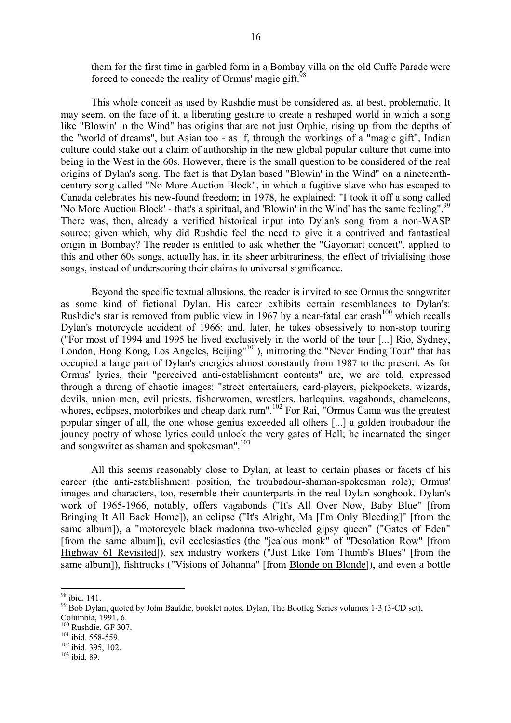them for the first time in garbled form in a Bombay villa on the old Cuffe Parade were forced to concede the reality of Ormus' magic gift.<sup>98</sup>

 This whole conceit as used by Rushdie must be considered as, at best, problematic. It may seem, on the face of it, a liberating gesture to create a reshaped world in which a song like "Blowin' in the Wind" has origins that are not just Orphic, rising up from the depths of the "world of dreams", but Asian too - as if, through the workings of a "magic gift", Indian culture could stake out a claim of authorship in the new global popular culture that came into being in the West in the 60s. However, there is the small question to be considered of the real origins of Dylan's song. The fact is that Dylan based "Blowin' in the Wind" on a nineteenthcentury song called "No More Auction Block", in which a fugitive slave who has escaped to Canada celebrates his new-found freedom; in 1978, he explained: "I took it off a song called 'No More Auction Block' - that's a spiritual, and 'Blowin' in the Wind' has the same feeling".<sup>99</sup> There was, then, already a verified historical input into Dylan's song from a non-WASP source; given which, why did Rushdie feel the need to give it a contrived and fantastical origin in Bombay? The reader is entitled to ask whether the "Gayomart conceit", applied to this and other 60s songs, actually has, in its sheer arbitrariness, the effect of trivialising those songs, instead of underscoring their claims to universal significance.

 Beyond the specific textual allusions, the reader is invited to see Ormus the songwriter as some kind of fictional Dylan. His career exhibits certain resemblances to Dylan's: Rushdie's star is removed from public view in 1967 by a near-fatal car crash<sup>100</sup> which recalls Dylan's motorcycle accident of 1966; and, later, he takes obsessively to non-stop touring ("For most of 1994 and 1995 he lived exclusively in the world of the tour [...] Rio, Sydney, London, Hong Kong, Los Angeles, Beijing"<sup>101</sup>), mirroring the "Never Ending Tour" that has occupied a large part of Dylan's energies almost constantly from 1987 to the present. As for Ormus' lyrics, their "perceived anti-establishment contents" are, we are told, expressed through a throng of chaotic images: "street entertainers, card-players, pickpockets, wizards, devils, union men, evil priests, fisherwomen, wrestlers, harlequins, vagabonds, chameleons, whores, eclipses, motorbikes and cheap dark rum".<sup>102</sup> For Rai, "Ormus Cama was the greatest popular singer of all, the one whose genius exceeded all others [...] a golden troubadour the jouncy poetry of whose lyrics could unlock the very gates of Hell; he incarnated the singer and songwriter as shaman and spokesman".<sup>103</sup>

 All this seems reasonably close to Dylan, at least to certain phases or facets of his career (the anti-establishment position, the troubadour-shaman-spokesman role); Ormus' images and characters, too, resemble their counterparts in the real Dylan songbook. Dylan's work of 1965-1966, notably, offers vagabonds ("It's All Over Now, Baby Blue" [from Bringing It All Back Home]), an eclipse ("It's Alright, Ma [I'm Only Bleeding]" [from the same album]), a "motorcycle black madonna two-wheeled gipsy queen" ("Gates of Eden" [from the same album]), evil ecclesiastics (the "jealous monk" of "Desolation Row" [from Highway 61 Revisited]), sex industry workers ("Just Like Tom Thumb's Blues" [from the same album]), fishtrucks ("Visions of Johanna" [from Blonde on Blonde]), and even a bottle

1

Columbia, 1991, 6.<br><sup>100</sup> Rushdie, GF 307.

<sup>&</sup>lt;sup>98</sup> ibid. 141.

<sup>&</sup>lt;sup>99</sup> Bob Dylan, quoted by John Bauldie, booklet notes, Dylan, The Bootleg Series volumes 1-3 (3-CD set),

<sup>&</sup>lt;sup>101</sup> ibid. 558-559.<br><sup>102</sup> ibid. 395, 102.<br><sup>103</sup> ibid. 89.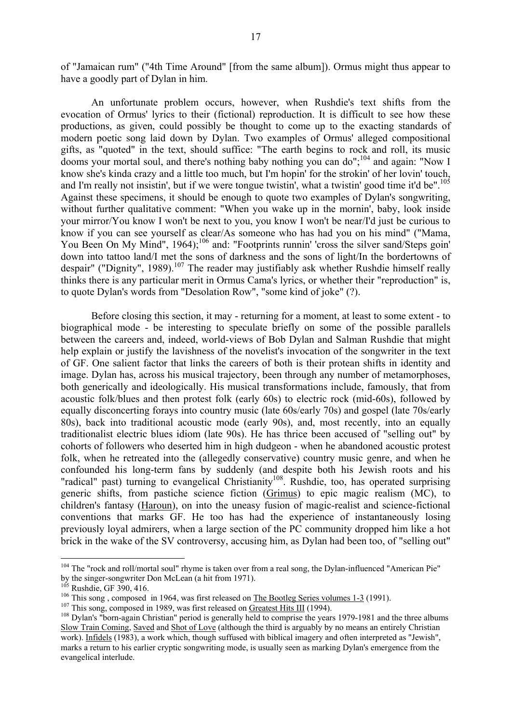of "Jamaican rum" ("4th Time Around" [from the same album]). Ormus might thus appear to have a goodly part of Dylan in him.

 An unfortunate problem occurs, however, when Rushdie's text shifts from the evocation of Ormus' lyrics to their (fictional) reproduction. It is difficult to see how these productions, as given, could possibly be thought to come up to the exacting standards of modern poetic song laid down by Dylan. Two examples of Ormus' alleged compositional gifts, as "quoted" in the text, should suffice: "The earth begins to rock and roll, its music dooms your mortal soul, and there's nothing baby nothing you can do";104 and again: "Now I know she's kinda crazy and a little too much, but I'm hopin' for the strokin' of her lovin' touch, and I'm really not insistin', but if we were tongue twistin', what a twistin' good time it'd be".<sup>105</sup> Against these specimens, it should be enough to quote two examples of Dylan's songwriting, without further qualitative comment: "When you wake up in the mornin', baby, look inside your mirror/You know I won't be next to you, you know I won't be near/I'd just be curious to know if you can see yourself as clear/As someone who has had you on his mind" ("Mama, You Been On My Mind", 1964);<sup>106</sup> and: "Footprints runnin' 'cross the silver sand/Steps goin' down into tattoo land/I met the sons of darkness and the sons of light/In the bordertowns of despair" ("Dignity", 1989).<sup>107</sup> The reader may justifiably ask whether Rushdie himself really thinks there is any particular merit in Ormus Cama's lyrics, or whether their "reproduction" is, to quote Dylan's words from "Desolation Row", "some kind of joke" (?).

 Before closing this section, it may - returning for a moment, at least to some extent - to biographical mode - be interesting to speculate briefly on some of the possible parallels between the careers and, indeed, world-views of Bob Dylan and Salman Rushdie that might help explain or justify the lavishness of the novelist's invocation of the songwriter in the text of GF. One salient factor that links the careers of both is their protean shifts in identity and image. Dylan has, across his musical trajectory, been through any number of metamorphoses, both generically and ideologically. His musical transformations include, famously, that from acoustic folk/blues and then protest folk (early 60s) to electric rock (mid-60s), followed by equally disconcerting forays into country music (late 60s/early 70s) and gospel (late 70s/early 80s), back into traditional acoustic mode (early 90s), and, most recently, into an equally traditionalist electric blues idiom (late 90s). He has thrice been accused of "selling out" by cohorts of followers who deserted him in high dudgeon - when he abandoned acoustic protest folk, when he retreated into the (allegedly conservative) country music genre, and when he confounded his long-term fans by suddenly (and despite both his Jewish roots and his "radical" past) turning to evangelical Christianity<sup>108</sup>. Rushdie, too, has operated surprising generic shifts, from pastiche science fiction (Grimus) to epic magic realism (MC), to children's fantasy (Haroun), on into the uneasy fusion of magic-realist and science-fictional conventions that marks GF. He too has had the experience of instantaneously losing previously loyal admirers, when a large section of the PC community dropped him like a hot brick in the wake of the SV controversy, accusing him, as Dylan had been too, of "selling out"

<sup>&</sup>lt;sup>104</sup> The "rock and roll/mortal soul" rhyme is taken over from a real song, the Dylan-influenced "American Pie" by the singer-songwriter Don McLean (a hit from 1971).<br><sup>105</sup> Rushdie. GF 390. 416.

<sup>&</sup>lt;sup>107</sup> This song, composed in 1964, was first released on <u>The Bootleg Series volumes 1-3</u> (1991).<br><sup>107</sup> This song, composed in 1989, was first released on <u>Greatest Hits III</u> (1994).<br><sup>108</sup> Dylan's "born-again Christian" p Slow Train Coming, Saved and Shot of Love (although the third is arguably by no means an entirely Christian work). Infidels (1983), a work which, though suffused with biblical imagery and often interpreted as "Jewish", marks a return to his earlier cryptic songwriting mode, is usually seen as marking Dylan's emergence from the evangelical interlude.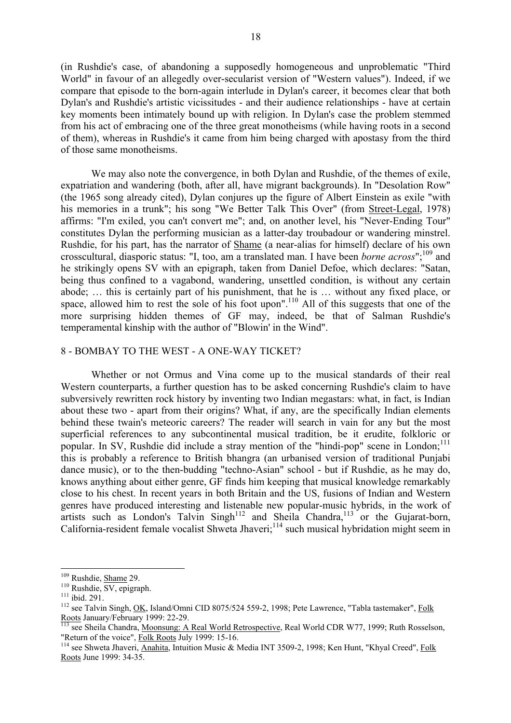(in Rushdie's case, of abandoning a supposedly homogeneous and unproblematic "Third World" in favour of an allegedly over-secularist version of "Western values"). Indeed, if we compare that episode to the born-again interlude in Dylan's career, it becomes clear that both Dylan's and Rushdie's artistic vicissitudes - and their audience relationships - have at certain key moments been intimately bound up with religion. In Dylan's case the problem stemmed from his act of embracing one of the three great monotheisms (while having roots in a second of them), whereas in Rushdie's it came from him being charged with apostasy from the third of those same monotheisms.

We may also note the convergence, in both Dylan and Rushdie, of the themes of exile, expatriation and wandering (both, after all, have migrant backgrounds). In "Desolation Row" (the 1965 song already cited), Dylan conjures up the figure of Albert Einstein as exile "with his memories in a trunk"; his song "We Better Talk This Over" (from Street-Legal, 1978) affirms: "I'm exiled, you can't convert me"; and, on another level, his "Never-Ending Tour" constitutes Dylan the performing musician as a latter-day troubadour or wandering minstrel. Rushdie, for his part, has the narrator of Shame (a near-alias for himself) declare of his own crosscultural, diasporic status: "I, too, am a translated man. I have been *borne across*";109 and he strikingly opens SV with an epigraph, taken from Daniel Defoe, which declares: "Satan, being thus confined to a vagabond, wandering, unsettled condition, is without any certain abode; … this is certainly part of his punishment, that he is … without any fixed place, or space, allowed him to rest the sole of his foot upon".<sup>110</sup> All of this suggests that one of the more surprising hidden themes of GF may, indeed, be that of Salman Rushdie's temperamental kinship with the author of "Blowin' in the Wind".

### 8 - BOMBAY TO THE WEST - A ONE-WAY TICKET?

 Whether or not Ormus and Vina come up to the musical standards of their real Western counterparts, a further question has to be asked concerning Rushdie's claim to have subversively rewritten rock history by inventing two Indian megastars: what, in fact, is Indian about these two - apart from their origins? What, if any, are the specifically Indian elements behind these twain's meteoric careers? The reader will search in vain for any but the most superficial references to any subcontinental musical tradition, be it erudite, folkloric or popular. In SV, Rushdie did include a stray mention of the "hindi-pop" scene in London;<sup>111</sup> this is probably a reference to British bhangra (an urbanised version of traditional Punjabi dance music), or to the then-budding "techno-Asian" school - but if Rushdie, as he may do, knows anything about either genre, GF finds him keeping that musical knowledge remarkably close to his chest. In recent years in both Britain and the US, fusions of Indian and Western genres have produced interesting and listenable new popular-music hybrids, in the work of artists such as London's Talvin  $Sing<sup>112</sup>$  and Sheila Chandra, $113$  or the Gujarat-born, California-resident female vocalist Shweta Jhaveri;<sup>114</sup> such musical hybridation might seem in

<sup>&</sup>lt;sup>109</sup> Rushdie, Shame 29.

<sup>&</sup>lt;sup>110</sup> Rushdie, SV, epigraph.<br>
<sup>111</sup> ibid. 291.<br>
<sup>112</sup> see Talvin Singh, <u>OK</u>, Island/Omni CID 8075/524 559-2, 1998; Pete Lawrence, "Tabla tastemaker", <u>Folk<br>
Roots</u> January/February 1999: 22-29.

Roots Anuary, Moonsung: A Real World Retrospective, Real World CDR W77, 1999; Ruth Rosselson, "Return of the voice", Folk Roots July 1999: 15-16.<br><sup>114</sup> see Shweta Jhaveri, Anahita, Intuition Music & Media INT 3509-2, 1998; Ken Hunt, "Khyal Creed", Folk

Roots June 1999: 34-35.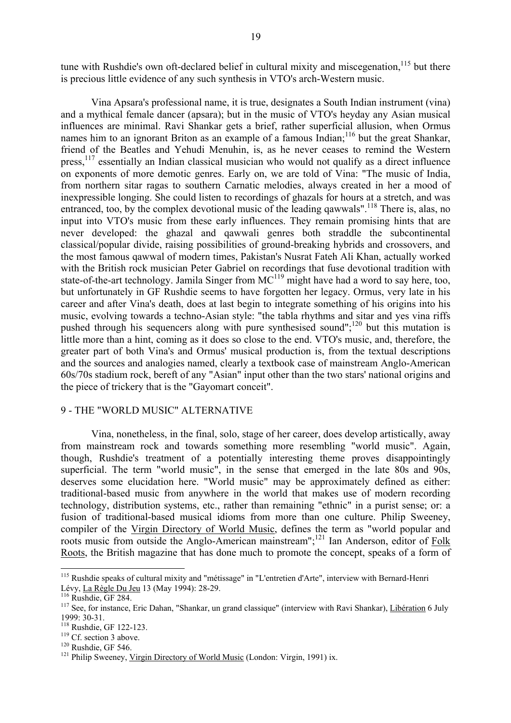tune with Rushdie's own oft-declared belief in cultural mixity and miscegenation, $115$  but there is precious little evidence of any such synthesis in VTO's arch-Western music.

 Vina Apsara's professional name, it is true, designates a South Indian instrument (vina) and a mythical female dancer (apsara); but in the music of VTO's heyday any Asian musical influences are minimal. Ravi Shankar gets a brief, rather superficial allusion, when Ormus names him to an ignorant Briton as an example of a famous Indian;<sup>116</sup> but the great Shankar, friend of the Beatles and Yehudi Menuhin, is, as he never ceases to remind the Western press,<sup>117</sup> essentially an Indian classical musician who would not qualify as a direct influence on exponents of more demotic genres. Early on, we are told of Vina: "The music of India, from northern sitar ragas to southern Carnatic melodies, always created in her a mood of inexpressible longing. She could listen to recordings of ghazals for hours at a stretch, and was entranced, too, by the complex devotional music of the leading qawwals".<sup>118</sup> There is, alas, no input into VTO's music from these early influences. They remain promising hints that are never developed: the ghazal and qawwali genres both straddle the subcontinental classical/popular divide, raising possibilities of ground-breaking hybrids and crossovers, and the most famous qawwal of modern times, Pakistan's Nusrat Fateh Ali Khan, actually worked with the British rock musician Peter Gabriel on recordings that fuse devotional tradition with state-of-the-art technology. Jamila Singer from  $MC^{119}$  might have had a word to say here, too, but unfortunately in GF Rushdie seems to have forgotten her legacy. Ormus, very late in his career and after Vina's death, does at last begin to integrate something of his origins into his music, evolving towards a techno-Asian style: "the tabla rhythms and sitar and yes vina riffs pushed through his sequencers along with pure synthesised sound";<sup>120</sup> but this mutation is little more than a hint, coming as it does so close to the end. VTO's music, and, therefore, the greater part of both Vina's and Ormus' musical production is, from the textual descriptions and the sources and analogies named, clearly a textbook case of mainstream Anglo-American 60s/70s stadium rock, bereft of any "Asian" input other than the two stars' national origins and the piece of trickery that is the "Gayomart conceit".

## 9 - THE "WORLD MUSIC" ALTERNATIVE

 Vina, nonetheless, in the final, solo, stage of her career, does develop artistically, away from mainstream rock and towards something more resembling "world music". Again, though, Rushdie's treatment of a potentially interesting theme proves disappointingly superficial. The term "world music", in the sense that emerged in the late 80s and 90s, deserves some elucidation here. "World music" may be approximately defined as either: traditional-based music from anywhere in the world that makes use of modern recording technology, distribution systems, etc., rather than remaining "ethnic" in a purist sense; or: a fusion of traditional-based musical idioms from more than one culture. Philip Sweeney, compiler of the Virgin Directory of World Music, defines the term as "world popular and roots music from outside the Anglo-American mainstream";<sup>121</sup> Ian Anderson, editor of <u>Folk</u> Roots, the British magazine that has done much to promote the concept, speaks of a form of

<sup>&</sup>lt;sup>115</sup> Rushdie speaks of cultural mixity and "métissage" in "L'entretien d'Arte", interview with Bernard-Henri Lévy, <u>La Règle Du Jeu</u> 13 (May 1994): 28-29.<br><sup>116</sup> Rushdie, GF 284.<br><sup>117</sup> See, for instance, Eric Dahan, "Shankar, un grand classique" (interview with Ravi Shankar), Libération 6 July

<sup>1999: 30-31.&</sup>lt;br><sup>118</sup> Rushdie, GF 122-123.

<sup>&</sup>lt;sup>119</sup> Cf. section 3 above.<br><sup>120</sup> Rushdie, GF 546.<br><sup>121</sup> Philip Sweeney, Virgin Directory of World Music (London: Virgin, 1991) ix.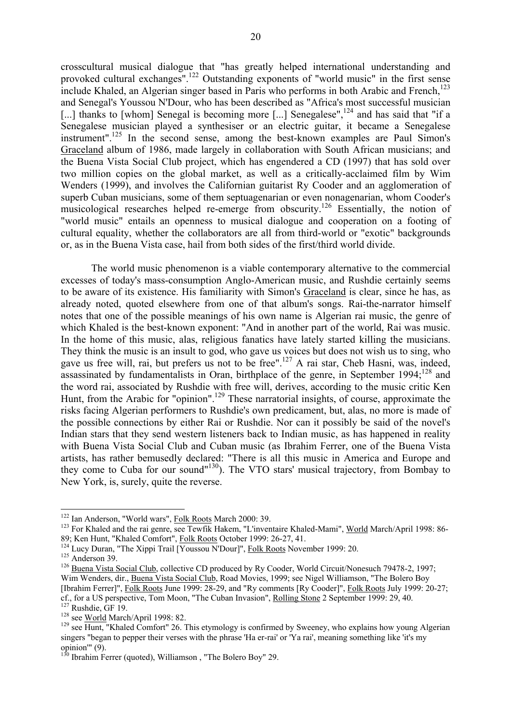crosscultural musical dialogue that "has greatly helped international understanding and provoked cultural exchanges".<sup>122</sup> Outstanding exponents of "world music" in the first sense include Khaled, an Algerian singer based in Paris who performs in both Arabic and French, $^{123}$ and Senegal's Youssou N'Dour, who has been described as "Africa's most successful musician [...] thanks to [whom] Senegal is becoming more [...] Senegalese",  $^{124}$  and has said that "if a Senegalese musician played a synthesiser or an electric guitar, it became a Senegalese instrument".125 In the second sense, among the best-known examples are Paul Simon's Graceland album of 1986, made largely in collaboration with South African musicians; and the Buena Vista Social Club project, which has engendered a CD (1997) that has sold over two million copies on the global market, as well as a critically-acclaimed film by Wim Wenders (1999), and involves the Californian guitarist Ry Cooder and an agglomeration of superb Cuban musicians, some of them septuagenarian or even nonagenarian, whom Cooder's musicological researches helped re-emerge from obscurity.<sup>126</sup> Essentially, the notion of "world music" entails an openness to musical dialogue and cooperation on a footing of cultural equality, whether the collaborators are all from third-world or "exotic" backgrounds or, as in the Buena Vista case, hail from both sides of the first/third world divide.

 The world music phenomenon is a viable contemporary alternative to the commercial excesses of today's mass-consumption Anglo-American music, and Rushdie certainly seems to be aware of its existence. His familiarity with Simon's Graceland is clear, since he has, as already noted, quoted elsewhere from one of that album's songs. Rai-the-narrator himself notes that one of the possible meanings of his own name is Algerian rai music, the genre of which Khaled is the best-known exponent: "And in another part of the world, Rai was music. In the home of this music, alas, religious fanatics have lately started killing the musicians. They think the music is an insult to god, who gave us voices but does not wish us to sing, who gave us free will, rai, but prefers us not to be free".<sup>127</sup> A rai star, Cheb Hasni, was, indeed, assassinated by fundamentalists in Oran, birthplace of the genre, in September  $1994$ ;<sup>128</sup> and the word rai, associated by Rushdie with free will, derives, according to the music critic Ken Hunt, from the Arabic for "opinion".<sup>129</sup> These narratorial insights, of course, approximate the risks facing Algerian performers to Rushdie's own predicament, but, alas, no more is made of the possible connections by either Rai or Rushdie. Nor can it possibly be said of the novel's Indian stars that they send western listeners back to Indian music, as has happened in reality with Buena Vista Social Club and Cuban music (as Ibrahim Ferrer, one of the Buena Vista artists, has rather bemusedly declared: "There is all this music in America and Europe and they come to Cuba for our sound"130). The VTO stars' musical trajectory, from Bombay to New York, is, surely, quite the reverse.

<sup>&</sup>lt;sup>122</sup> Ian Anderson, "World wars", **Folk Roots March 2000: 39.** <sup>123</sup> For Khaled-Mami", <u>World</u> March/April 1998: 86-<sup>123</sup> For Khaled and the rai genre, see Tewfik Hakem, "L'inventaire Khaled-Mami", <u>World</u> March/April 199 89; Ken Hunt, "Khaled Comfort", <u>Folk Roots</u> October 1999: 26-27, 41.<br><sup>124</sup> Lucy Duran, "The Xippi Trail [Youssou N'Dour]", <u>Folk Roots</u> November 1999: 20.<br><sup>125</sup> Anderson 39.<br><sup>126</sup> Buena Vista Social Club, collective CD pr

Wim Wenders, dir., Buena Vista Social Club, Road Movies, 1999; see Nigel Williamson, "The Bolero Boy [Ibrahim Ferrer]", <u>Folk Roots</u> June 1999: 28-29, and "Ry comments [Ry Cooder]", <u>Folk Roots</u> July 1999: 20-27; cf., for a US perspective, Tom Moon, "The Cuban Invasion", Rolling Stone 2 September 1999: 29, 40.

<sup>&</sup>lt;sup>127</sup> Rushdie, GF 19.<br><sup>128</sup> see <u>World</u> March/April 1998: 82.<br><sup>129</sup> see Hunt, "Khaled Comfort" 26. This etymology is confirmed by Sweeney, who explains how young Algerian singers "began to pepper their verses with the phrase 'Ha er-rai' or 'Ya rai', meaning something like 'it's my opinion'" (9).

 $1^{30}$  Ibrahim Ferrer (quoted), Williamson, "The Bolero Boy" 29.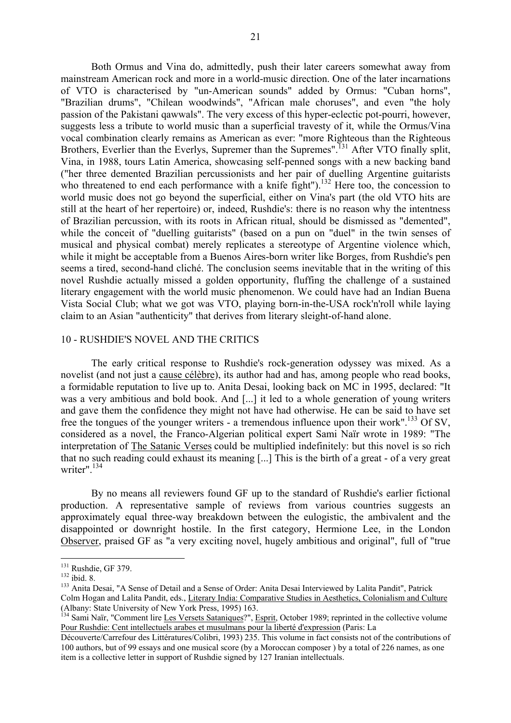Both Ormus and Vina do, admittedly, push their later careers somewhat away from

21

mainstream American rock and more in a world-music direction. One of the later incarnations of VTO is characterised by "un-American sounds" added by Ormus: "Cuban horns", "Brazilian drums", "Chilean woodwinds", "African male choruses", and even "the holy passion of the Pakistani qawwals". The very excess of this hyper-eclectic pot-pourri, however, suggests less a tribute to world music than a superficial travesty of it, while the Ormus/Vina vocal combination clearly remains as American as ever: "more Righteous than the Righteous Brothers, Everlier than the Everlys, Supremer than the Supremes".<sup>131</sup> After VTO finally split, Vina, in 1988, tours Latin America, showcasing self-penned songs with a new backing band ("her three demented Brazilian percussionists and her pair of duelling Argentine guitarists who threatened to end each performance with a knife fight").<sup>132</sup> Here too, the concession to world music does not go beyond the superficial, either on Vina's part (the old VTO hits are still at the heart of her repertoire) or, indeed, Rushdie's: there is no reason why the intentness of Brazilian percussion, with its roots in African ritual, should be dismissed as "demented", while the conceit of "duelling guitarists" (based on a pun on "duel" in the twin senses of musical and physical combat) merely replicates a stereotype of Argentine violence which, while it might be acceptable from a Buenos Aires-born writer like Borges, from Rushdie's pen seems a tired, second-hand cliché. The conclusion seems inevitable that in the writing of this novel Rushdie actually missed a golden opportunity, fluffing the challenge of a sustained literary engagement with the world music phenomenon. We could have had an Indian Buena Vista Social Club; what we got was VTO, playing born-in-the-USA rock'n'roll while laying claim to an Asian "authenticity" that derives from literary sleight-of-hand alone.

## 10 - RUSHDIE'S NOVEL AND THE CRITICS

 The early critical response to Rushdie's rock-generation odyssey was mixed. As a novelist (and not just a cause célèbre), its author had and has, among people who read books, a formidable reputation to live up to. Anita Desai, looking back on MC in 1995, declared: "It was a very ambitious and bold book. And [...] it led to a whole generation of young writers and gave them the confidence they might not have had otherwise. He can be said to have set free the tongues of the younger writers - a tremendous influence upon their work".<sup>133</sup> Of SV, considered as a novel, the Franco-Algerian political expert Sami Naïr wrote in 1989: "The interpretation of The Satanic Verses could be multiplied indefinitely: but this novel is so rich that no such reading could exhaust its meaning [...] This is the birth of a great - of a very great writer".<sup>134</sup>

 By no means all reviewers found GF up to the standard of Rushdie's earlier fictional production. A representative sample of reviews from various countries suggests an approximately equal three-way breakdown between the eulogistic, the ambivalent and the disappointed or downright hostile. In the first category, Hermione Lee, in the London Observer, praised GF as "a very exciting novel, hugely ambitious and original", full of "true

<sup>&</sup>lt;sup>131</sup> Rushdie, GF 379.

<sup>132</sup> ibid. 8.<br><sup>132</sup> ibid. 8. <sup>133</sup> Anita Desai. "A Sense of Detail and a Sense of Order: Anita Desai Interviewed by Lalita Pandit", Patrick Colm Hogan and Lalita Pandit, eds., Literary India: Comparative Studies in Aesthetics, Colonialism and Culture (Albany: State University of New York Press, 1995) 163.

<sup>&</sup>lt;sup>134</sup> Sami Naïr, "Comment lire Les Versets Sataniques?", Esprit, October 1989; reprinted in the collective volume Pour Rushdie: Cent intellectuels arabes et musulmans pour la liberté d'expression (Paris: La

Découverte/Carrefour des Littératures/Colibri, 1993) 235. This volume in fact consists not of the contributions of 100 authors, but of 99 essays and one musical score (by a Moroccan composer ) by a total of 226 names, as one item is a collective letter in support of Rushdie signed by 127 Iranian intellectuals.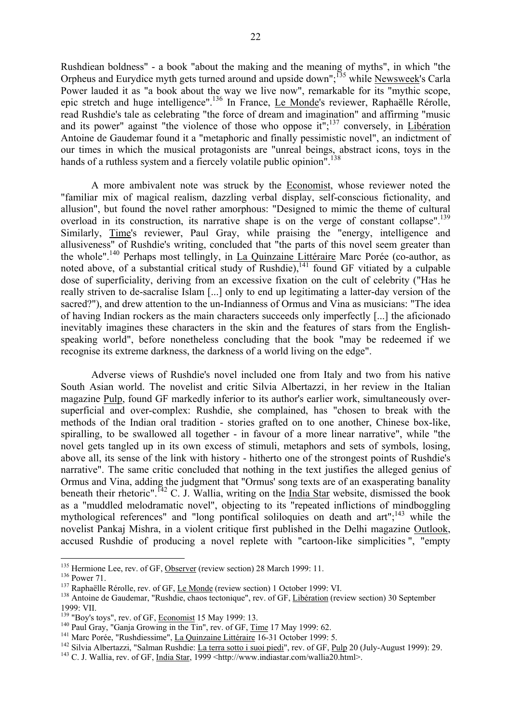Rushdiean boldness" - a book "about the making and the meaning of myths", in which "the Orpheus and Eurydice myth gets turned around and upside down";135 while Newsweek's Carla Power lauded it as "a book about the way we live now", remarkable for its "mythic scope, epic stretch and huge intelligence".136 In France, Le Monde's reviewer, Raphaëlle Rérolle, read Rushdie's tale as celebrating "the force of dream and imagination" and affirming "music and its power" against "the violence of those who oppose it";<sup>137</sup> conversely, in Libération Antoine de Gaudemar found it a "metaphoric and finally pessimistic novel", an indictment of our times in which the musical protagonists are "unreal beings, abstract icons, toys in the hands of a ruthless system and a fiercely volatile public opinion".<sup>138</sup>

 A more ambivalent note was struck by the Economist, whose reviewer noted the "familiar mix of magical realism, dazzling verbal display, self-conscious fictionality, and allusion", but found the novel rather amorphous: "Designed to mimic the theme of cultural overload in its construction, its narrative shape is on the verge of constant collapse".<sup>139</sup> Similarly, Time's reviewer, Paul Gray, while praising the "energy, intelligence and allusiveness" of Rushdie's writing, concluded that "the parts of this novel seem greater than the whole".140 Perhaps most tellingly, in La Quinzaine Littéraire Marc Porée (co-author, as noted above, of a substantial critical study of Rushdie),  $\frac{1}{41}$  found GF vitiated by a culpable dose of superficiality, deriving from an excessive fixation on the cult of celebrity ("Has he really striven to de-sacralise Islam [...] only to end up legitimating a latter-day version of the sacred?"), and drew attention to the un-Indianness of Ormus and Vina as musicians: "The idea of having Indian rockers as the main characters succeeds only imperfectly [...] the aficionado inevitably imagines these characters in the skin and the features of stars from the Englishspeaking world", before nonetheless concluding that the book "may be redeemed if we recognise its extreme darkness, the darkness of a world living on the edge".

 Adverse views of Rushdie's novel included one from Italy and two from his native South Asian world. The novelist and critic Silvia Albertazzi, in her review in the Italian magazine Pulp, found GF markedly inferior to its author's earlier work, simultaneously oversuperficial and over-complex: Rushdie, she complained, has "chosen to break with the methods of the Indian oral tradition - stories grafted on to one another, Chinese box-like, spiralling, to be swallowed all together - in favour of a more linear narrative", while "the novel gets tangled up in its own excess of stimuli, metaphors and sets of symbols, losing, above all, its sense of the link with history - hitherto one of the strongest points of Rushdie's narrative". The same critic concluded that nothing in the text justifies the alleged genius of Ormus and Vina, adding the judgment that "Ormus' song texts are of an exasperating banality beneath their rhetoric".<sup>142</sup> C. J. Wallia, writing on the India Star website, dismissed the book as a "muddled melodramatic novel", objecting to its "repeated inflictions of mindboggling mythological references" and "long pontifical soliloquies on death and  $art$ ";<sup>143</sup> while the novelist Pankaj Mishra, in a violent critique first published in the Delhi magazine Outlook, accused Rushdie of producing a novel replete with "cartoon-like simplicities ", "empty

<sup>&</sup>lt;sup>135</sup> Hermione Lee, rev. of GF, <u>Observer</u> (review section) 28 March 1999: 11.<br><sup>136</sup> Power 71.<br><sup>137</sup> Raphaëlle Rérolle, rev. of GF, <u>Le Monde</u> (review section) 1 October 1999: VI.<br><sup>137</sup> Antoine de Gaudemar, "Rushdie, chaos 1999: VII.<br><sup>139</sup> "Boy's toys", rev. of GF, <u>Economist</u> 15 May 1999: 13.

<sup>&</sup>lt;sup>140</sup> Paul Gray, "Ganja Growing in the Tin", rev. of GF, <u>Time</u> 17 May 1999: 62.<br><sup>141</sup> Marc Porée, "Rushdiessime", <u>La Quinzaine Littéraire</u> 16-31 October 1999: 5.<br><sup>142</sup> Silvia Albertazzi, "Salman Rushdie: <u>La terra sotto</u>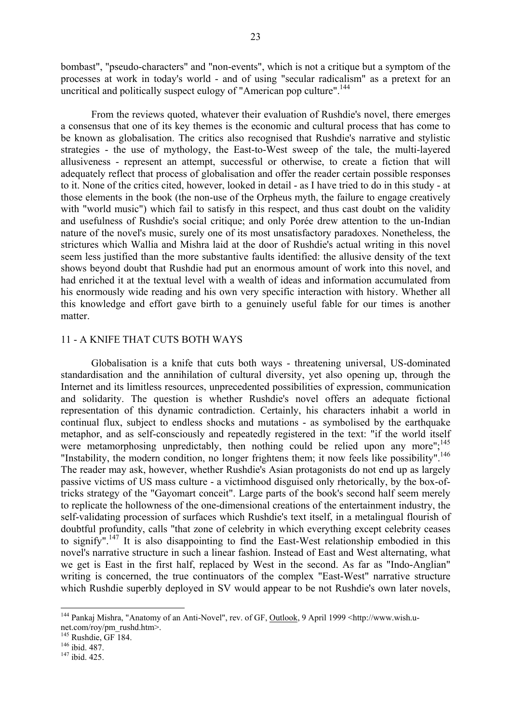bombast", "pseudo-characters" and "non-events", which is not a critique but a symptom of the processes at work in today's world - and of using "secular radicalism" as a pretext for an uncritical and politically suspect eulogy of "American pop culture".<sup>144</sup>

 From the reviews quoted, whatever their evaluation of Rushdie's novel, there emerges a consensus that one of its key themes is the economic and cultural process that has come to be known as globalisation. The critics also recognised that Rushdie's narrative and stylistic strategies - the use of mythology, the East-to-West sweep of the tale, the multi-layered allusiveness - represent an attempt, successful or otherwise, to create a fiction that will adequately reflect that process of globalisation and offer the reader certain possible responses to it. None of the critics cited, however, looked in detail - as I have tried to do in this study - at those elements in the book (the non-use of the Orpheus myth, the failure to engage creatively with "world music") which fail to satisfy in this respect, and thus cast doubt on the validity and usefulness of Rushdie's social critique; and only Porée drew attention to the un-Indian nature of the novel's music, surely one of its most unsatisfactory paradoxes. Nonetheless, the strictures which Wallia and Mishra laid at the door of Rushdie's actual writing in this novel seem less justified than the more substantive faults identified: the allusive density of the text shows beyond doubt that Rushdie had put an enormous amount of work into this novel, and had enriched it at the textual level with a wealth of ideas and information accumulated from his enormously wide reading and his own very specific interaction with history. Whether all this knowledge and effort gave birth to a genuinely useful fable for our times is another matter.

## 11 - A KNIFE THAT CUTS BOTH WAYS

 Globalisation is a knife that cuts both ways - threatening universal, US-dominated standardisation and the annihilation of cultural diversity, yet also opening up, through the Internet and its limitless resources, unprecedented possibilities of expression, communication and solidarity. The question is whether Rushdie's novel offers an adequate fictional representation of this dynamic contradiction. Certainly, his characters inhabit a world in continual flux, subject to endless shocks and mutations - as symbolised by the earthquake metaphor, and as self-consciously and repeatedly registered in the text: "if the world itself were metamorphosing unpredictably, then nothing could be relied upon any more"; $^{145}$ "Instability, the modern condition, no longer frightens them; it now feels like possibility".<sup>146</sup> The reader may ask, however, whether Rushdie's Asian protagonists do not end up as largely passive victims of US mass culture - a victimhood disguised only rhetorically, by the box-oftricks strategy of the "Gayomart conceit". Large parts of the book's second half seem merely to replicate the hollowness of the one-dimensional creations of the entertainment industry, the self-validating procession of surfaces which Rushdie's text itself, in a metalingual flourish of doubtful profundity, calls "that zone of celebrity in which everything except celebrity ceases to signify".147 It is also disappointing to find the East-West relationship embodied in this novel's narrative structure in such a linear fashion. Instead of East and West alternating, what we get is East in the first half, replaced by West in the second. As far as "Indo-Anglian" writing is concerned, the true continuators of the complex "East-West" narrative structure which Rushdie superbly deployed in SV would appear to be not Rushdie's own later novels,

145 Rushdie, GF 184.<br>
<sup>146</sup> ibid. 487.<br>
<sup>147</sup> ibid. 425.

<sup>&</sup>lt;sup>144</sup> Pankaj Mishra, "Anatomy of an Anti-Novel", rev. of GF, **Outlook**, 9 April 1999 <http://www.wish.unet.com/roy/pm\_rushd.htm>.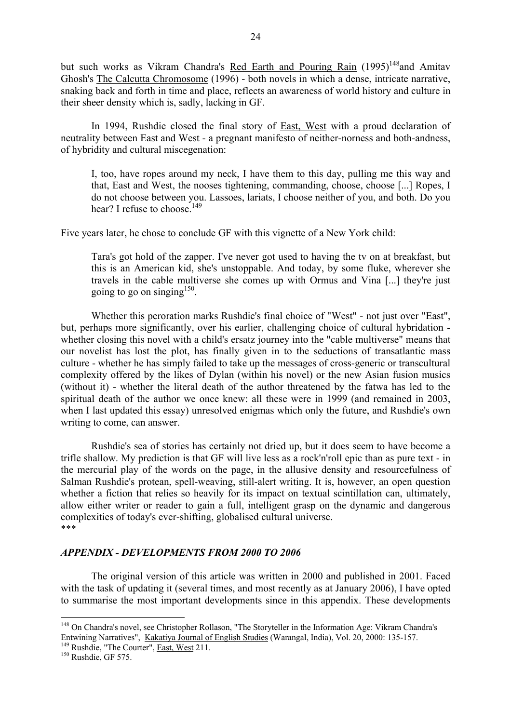but such works as Vikram Chandra's Red Earth and Pouring Rain  $(1995)^{148}$  and Amitav Ghosh's The Calcutta Chromosome (1996) - both novels in which a dense, intricate narrative, snaking back and forth in time and place, reflects an awareness of world history and culture in their sheer density which is, sadly, lacking in GF.

 In 1994, Rushdie closed the final story of East, West with a proud declaration of neutrality between East and West - a pregnant manifesto of neither-norness and both-andness, of hybridity and cultural miscegenation:

I, too, have ropes around my neck, I have them to this day, pulling me this way and that, East and West, the nooses tightening, commanding, choose, choose [...] Ropes, I do not choose between you. Lassoes, lariats, I choose neither of you, and both. Do you hear? I refuse to choose.<sup>149</sup>

Five years later, he chose to conclude GF with this vignette of a New York child:

Tara's got hold of the zapper. I've never got used to having the tv on at breakfast, but this is an American kid, she's unstoppable. And today, by some fluke, wherever she travels in the cable multiverse she comes up with Ormus and Vina [...] they're just going to go on singing  $150$ .

 Whether this peroration marks Rushdie's final choice of "West" - not just over "East", but, perhaps more significantly, over his earlier, challenging choice of cultural hybridation whether closing this novel with a child's ersatz journey into the "cable multiverse" means that our novelist has lost the plot, has finally given in to the seductions of transatlantic mass culture - whether he has simply failed to take up the messages of cross-generic or transcultural complexity offered by the likes of Dylan (within his novel) or the new Asian fusion musics (without it) - whether the literal death of the author threatened by the fatwa has led to the spiritual death of the author we once knew: all these were in 1999 (and remained in 2003, when I last updated this essay) unresolved enigmas which only the future, and Rushdie's own writing to come, can answer.

 Rushdie's sea of stories has certainly not dried up, but it does seem to have become a trifle shallow. My prediction is that GF will live less as a rock'n'roll epic than as pure text - in the mercurial play of the words on the page, in the allusive density and resourcefulness of Salman Rushdie's protean, spell-weaving, still-alert writing. It is, however, an open question whether a fiction that relies so heavily for its impact on textual scintillation can, ultimately, allow either writer or reader to gain a full, intelligent grasp on the dynamic and dangerous complexities of today's ever-shifting, globalised cultural universe. \*\*\*

# *APPENDIX - DEVELOPMENTS FROM 2000 TO 2006*

The original version of this article was written in 2000 and published in 2001. Faced with the task of updating it (several times, and most recently as at January 2006), I have opted to summarise the most important developments since in this appendix. These developments

<sup>&</sup>lt;sup>148</sup> On Chandra's novel, see Christopher Rollason, "The Storyteller in the Information Age: Vikram Chandra's Entwining Narratives", Kakatiya Journal of English Studies (Warangal, India), Vol. 20, 2000: 135-157.<br><sup>149</sup> Rushdie, "The Courter", <u>East, West</u> 211.<br><sup>150</sup> Rushdie. GF 575.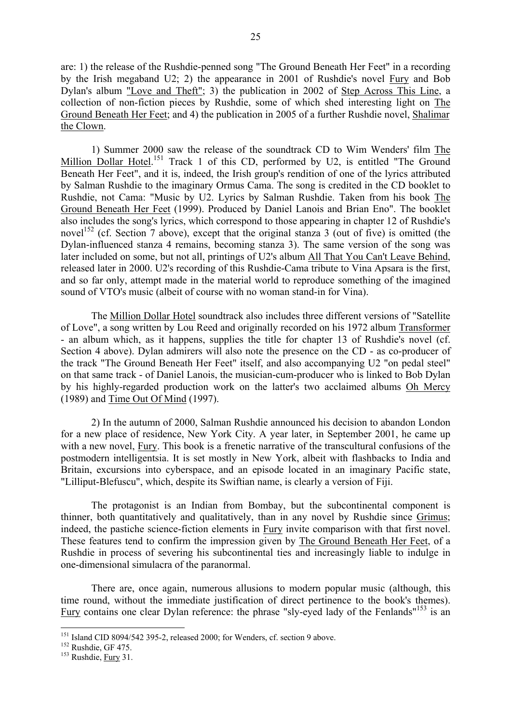are: 1) the release of the Rushdie-penned song "The Ground Beneath Her Feet" in a recording by the Irish megaband U2; 2) the appearance in 2001 of Rushdie's novel Fury and Bob Dylan's album "Love and Theft"; 3) the publication in 2002 of Step Across This Line, a collection of non-fiction pieces by Rushdie, some of which shed interesting light on The Ground Beneath Her Feet; and 4) the publication in 2005 of a further Rushdie novel, Shalimar the Clown.

1) Summer 2000 saw the release of the soundtrack CD to Wim Wenders' film The Million Dollar Hotel.<sup>151</sup> Track 1 of this CD, performed by U2, is entitled "The Ground Beneath Her Feet", and it is, indeed, the Irish group's rendition of one of the lyrics attributed by Salman Rushdie to the imaginary Ormus Cama. The song is credited in the CD booklet to Rushdie, not Cama: "Music by U2. Lyrics by Salman Rushdie. Taken from his book The Ground Beneath Her Feet (1999). Produced by Daniel Lanois and Brian Eno". The booklet also includes the song's lyrics, which correspond to those appearing in chapter 12 of Rushdie's novel<sup>152</sup> (cf. Section 7 above), except that the original stanza 3 (out of five) is omitted (the Dylan-influenced stanza 4 remains, becoming stanza 3). The same version of the song was later included on some, but not all, printings of U2's album All That You Can't Leave Behind, released later in 2000. U2's recording of this Rushdie-Cama tribute to Vina Apsara is the first, and so far only, attempt made in the material world to reproduce something of the imagined sound of VTO's music (albeit of course with no woman stand-in for Vina).

The Million Dollar Hotel soundtrack also includes three different versions of "Satellite of Love", a song written by Lou Reed and originally recorded on his 1972 album Transformer - an album which, as it happens, supplies the title for chapter 13 of Rushdie's novel (cf. Section 4 above). Dylan admirers will also note the presence on the CD - as co-producer of the track "The Ground Beneath Her Feet" itself, and also accompanying U2 "on pedal steel" on that same track - of Daniel Lanois, the musician-cum-producer who is linked to Bob Dylan by his highly-regarded production work on the latter's two acclaimed albums Oh Mercy (1989) and Time Out Of Mind (1997).

2) In the autumn of 2000, Salman Rushdie announced his decision to abandon London for a new place of residence, New York City. A year later, in September 2001, he came up with a new novel, Fury. This book is a frenetic narrative of the transcultural confusions of the postmodern intelligentsia. It is set mostly in New York, albeit with flashbacks to India and Britain, excursions into cyberspace, and an episode located in an imaginary Pacific state, "Lilliput-Blefuscu", which, despite its Swiftian name, is clearly a version of Fiji.

The protagonist is an Indian from Bombay, but the subcontinental component is thinner, both quantitatively and qualitatively, than in any novel by Rushdie since Grimus; indeed, the pastiche science-fiction elements in Fury invite comparison with that first novel. These features tend to confirm the impression given by The Ground Beneath Her Feet, of a Rushdie in process of severing his subcontinental ties and increasingly liable to indulge in one-dimensional simulacra of the paranormal.

There are, once again, numerous allusions to modern popular music (although, this time round, without the immediate justification of direct pertinence to the book's themes). Fury contains one clear Dylan reference: the phrase "sly-eyed lady of the Fenlands"<sup>153</sup> is an

<sup>&</sup>lt;sup>151</sup> Island CID 8094/542 395-2, released 2000; for Wenders, cf. section 9 above.<br><sup>152</sup> Rushdie, GF 475.<br><sup>153</sup> Rushdie, <u>Fury</u> 31.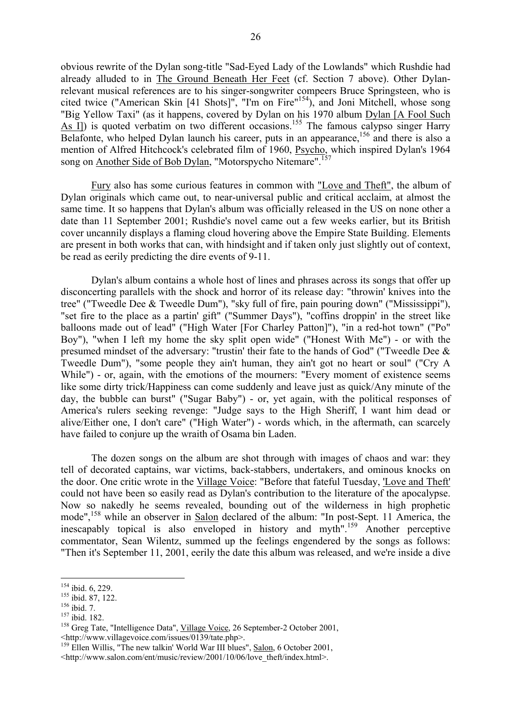obvious rewrite of the Dylan song-title "Sad-Eyed Lady of the Lowlands" which Rushdie had already alluded to in The Ground Beneath Her Feet (cf. Section 7 above). Other Dylanrelevant musical references are to his singer-songwriter compeers Bruce Springsteen, who is cited twice ("American Skin [41 Shots]", "I'm on Fire"154), and Joni Mitchell, whose song "Big Yellow Taxi" (as it happens, covered by Dylan on his 1970 album Dylan [A Fool Such As I]) is quoted verbatim on two different occasions.<sup>155</sup> The famous calypso singer Harry Belafonte, who helped Dylan launch his career, puts in an appearance,  $156$  and there is also a mention of Alfred Hitchcock's celebrated film of 1960, Psycho, which inspired Dylan's 1964

song on Another Side of Bob Dylan, "Motorspycho Nitemare".<sup>157</sup>

Fury also has some curious features in common with "Love and Theft", the album of Dylan originals which came out, to near-universal public and critical acclaim, at almost the same time. It so happens that Dylan's album was officially released in the US on none other a date than 11 September 2001; Rushdie's novel came out a few weeks earlier, but its British cover uncannily displays a flaming cloud hovering above the Empire State Building. Elements are present in both works that can, with hindsight and if taken only just slightly out of context, be read as eerily predicting the dire events of 9-11.

Dylan's album contains a whole host of lines and phrases across its songs that offer up disconcerting parallels with the shock and horror of its release day: "throwin' knives into the tree" ("Tweedle Dee & Tweedle Dum"), "sky full of fire, pain pouring down" ("Mississippi"), "set fire to the place as a partin' gift" ("Summer Days"), "coffins droppin' in the street like balloons made out of lead" ("High Water [For Charley Patton]"), "in a red-hot town" ("Po" Boy"), "when I left my home the sky split open wide" ("Honest With Me") - or with the presumed mindset of the adversary: "trustin' their fate to the hands of God" ("Tweedle Dee & Tweedle Dum"), "some people they ain't human, they ain't got no heart or soul" ("Cry A While") - or, again, with the emotions of the mourners: "Every moment of existence seems like some dirty trick/Happiness can come suddenly and leave just as quick/Any minute of the day, the bubble can burst" ("Sugar Baby") - or, yet again, with the political responses of America's rulers seeking revenge: "Judge says to the High Sheriff, I want him dead or alive/Either one, I don't care" ("High Water") - words which, in the aftermath, can scarcely have failed to conjure up the wraith of Osama bin Laden.

The dozen songs on the album are shot through with images of chaos and war: they tell of decorated captains, war victims, back-stabbers, undertakers, and ominous knocks on the door. One critic wrote in the Village Voice: "Before that fateful Tuesday, 'Love and Theft' could not have been so easily read as Dylan's contribution to the literature of the apocalypse. Now so nakedly he seems revealed, bounding out of the wilderness in high prophetic mode",<sup>158</sup> while an observer in **Salon** declared of the album: "In post-Sept. 11 America, the inescapably topical is also enveloped in history and myth".159 Another perceptive commentator, Sean Wilentz, summed up the feelings engendered by the songs as follows: "Then it's September 11, 2001, eerily the date this album was released, and we're inside a dive

<sup>&</sup>lt;sup>154</sup> ibid. 6, 229.

<sup>&</sup>lt;sup>155</sup> ibid. 87, 122.<br><sup>156</sup> ibid. 7.<br><sup>157</sup> ibid. 182.<br><sup>158</sup> Greg Tate, "Intelligence Data", <u>Village Voice</u>, 26 September-2 October 2001, <http://www.villagevoice.com/issues/0139/tate.php>.

<sup>&</sup>lt;sup>159</sup> Ellen Willis, "The new talkin' World War III blues", Salon, 6 October 2001, <http://www.salon.com/ent/music/review/2001/10/06/love\_theft/index.html>.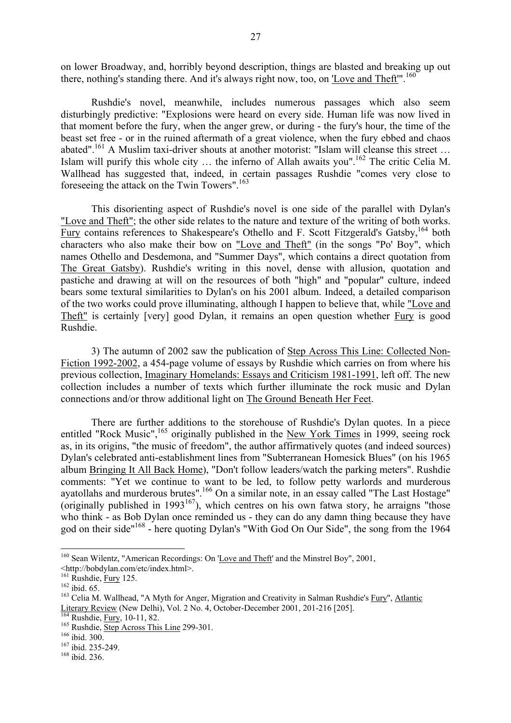on lower Broadway, and, horribly beyond description, things are blasted and breaking up out there, nothing's standing there. And it's always right now, too, on 'Love and Theft'".<sup>160</sup>

Rushdie's novel, meanwhile, includes numerous passages which also seem disturbingly predictive: "Explosions were heard on every side. Human life was now lived in that moment before the fury, when the anger grew, or during - the fury's hour, the time of the beast set free - or in the ruined aftermath of a great violence, when the fury ebbed and chaos abated".<sup>161</sup> A Muslim taxi-driver shouts at another motorist: "Islam will cleanse this street ... Islam will purify this whole city ... the inferno of Allah awaits you".<sup>162</sup> The critic Celia M. Wallhead has suggested that, indeed, in certain passages Rushdie "comes very close to foreseeing the attack on the Twin Towers".<sup>163</sup>

This disorienting aspect of Rushdie's novel is one side of the parallel with Dylan's "Love and Theft"; the other side relates to the nature and texture of the writing of both works. Fury contains references to Shakespeare's Othello and F. Scott Fitzgerald's Gatsby,164 both characters who also make their bow on "Love and Theft" (in the songs "Po' Boy", which names Othello and Desdemona, and "Summer Days", which contains a direct quotation from The Great Gatsby). Rushdie's writing in this novel, dense with allusion, quotation and pastiche and drawing at will on the resources of both "high" and "popular" culture, indeed bears some textural similarities to Dylan's on his 2001 album. Indeed, a detailed comparison of the two works could prove illuminating, although I happen to believe that, while "Love and Theft" is certainly [very] good Dylan, it remains an open question whether Fury is good Rushdie.

3) The autumn of 2002 saw the publication of Step Across This Line: Collected Non-Fiction 1992-2002, a 454-page volume of essays by Rushdie which carries on from where his previous collection, Imaginary Homelands: Essays and Criticism 1981-1991, left off. The new collection includes a number of texts which further illuminate the rock music and Dylan connections and/or throw additional light on The Ground Beneath Her Feet.

There are further additions to the storehouse of Rushdie's Dylan quotes. In a piece entitled "Rock Music",<sup>165</sup> originally published in the New York Times in 1999, seeing rock as, in its origins, "the music of freedom", the author affirmatively quotes (and indeed sources) Dylan's celebrated anti-establishment lines from "Subterranean Homesick Blues" (on his 1965 album Bringing It All Back Home), "Don't follow leaders/watch the parking meters". Rushdie comments: "Yet we continue to want to be led, to follow petty warlords and murderous ayatollahs and murderous brutes".166 On a similar note, in an essay called "The Last Hostage" (originally published in 1993 $^{167}$ ), which centres on his own fatwa story, he arraigns "those who think - as Bob Dylan once reminded us - they can do any damn thing because they have god on their side"<sup>168</sup> - here quoting Dylan's "With God On Our Side", the song from the 1964

<sup>&</sup>lt;sup>160</sup> Sean Wilentz, "American Recordings: On 'Love and Theft' and the Minstrel Boy", 2001,

<sup>&</sup>lt;http://bobdylan.com/etc/index.html>.

<sup>162</sup> ibid. 65.<br><sup>162</sup> ibid. 65. 163 Celia M. Wallhead, "A Myth for Anger, Migration and Creativity in Salman Rushdie's Fury", Atlantic Literary Review (New Delhi), Vol. 2 No. 4, October-December 2001, 201-216 [205].<br>
<sup>164</sup> Rushdie, <u>Fury</u>, 10-11, 82.<br>
<sup>165</sup> Rushdie, <u>Step Across This Line</u> 299-301.<br>
<sup>166</sup> ibid. 300.<br>
<sup>167</sup> ibid. 235-249.<br>
<sup>168</sup> ibid. 236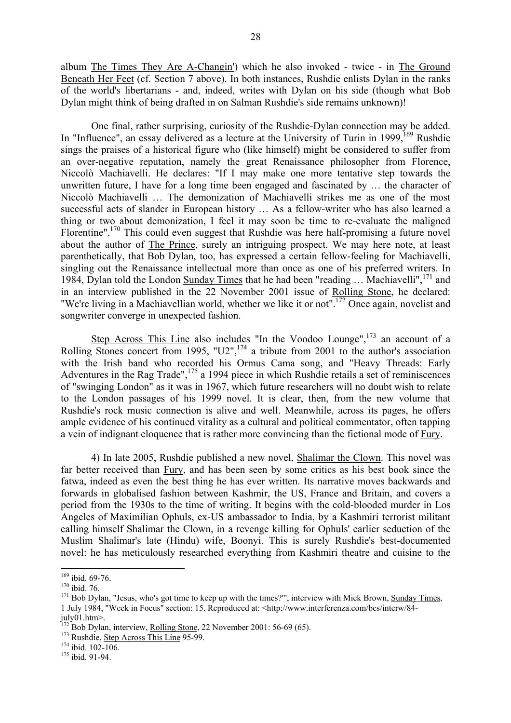album The Times They Are A-Changin') which he also invoked - twice - in The Ground Beneath Her Feet (cf. Section 7 above). In both instances, Rushdie enlists Dylan in the ranks of the world's libertarians - and, indeed, writes with Dylan on his side (though what Bob Dylan might think of being drafted in on Salman Rushdie's side remains unknown)!

One final, rather surprising, curiosity of the Rushdie-Dylan connection may be added. In "Influence", an essay delivered as a lecture at the University of Turin in 1999,<sup>169</sup> Rushdie sings the praises of a historical figure who (like himself) might be considered to suffer from an over-negative reputation, namely the great Renaissance philosopher from Florence, Niccolò Machiavelli. He declares: "If I may make one more tentative step towards the unwritten future, I have for a long time been engaged and fascinated by … the character of Niccolò Machiavelli … The demonization of Machiavelli strikes me as one of the most successful acts of slander in European history … As a fellow-writer who has also learned a thing or two about demonization, I feel it may soon be time to re-evaluate the maligned Florentine".<sup>170</sup> This could even suggest that Rushdie was here half-promising a future novel about the author of The Prince, surely an intriguing prospect. We may here note, at least parenthetically, that Bob Dylan, too, has expressed a certain fellow-feeling for Machiavelli, singling out the Renaissance intellectual more than once as one of his preferred writers. In 1984, Dylan told the London Sunday Times that he had been "reading  $\ldots$  Machiavelli",  $^{171}$  and in an interview published in the 22 November 2001 issue of Rolling Stone, he declared: "We're living in a Machiavellian world, whether we like it or not".<sup>172</sup> Once again, novelist and songwriter converge in unexpected fashion.

Step Across This Line also includes "In the Voodoo Lounge",  $173$  an account of a Rolling Stones concert from 1995, "U2",  $^{174}$  a tribute from 2001 to the author's association with the Irish band who recorded his Ormus Cama song, and "Heavy Threads: Early Adventures in the Rag Trade",<sup>175</sup> a 1994 piece in which Rushdie retails a set of reminiscences of "swinging London" as it was in 1967, which future researchers will no doubt wish to relate to the London passages of his 1999 novel. It is clear, then, from the new volume that Rushdie's rock music connection is alive and well. Meanwhile, across its pages, he offers ample evidence of his continued vitality as a cultural and political commentator, often tapping a vein of indignant eloquence that is rather more convincing than the fictional mode of Fury.

4) In late 2005, Rushdie published a new novel, Shalimar the Clown. This novel was far better received than Fury, and has been seen by some critics as his best book since the fatwa, indeed as even the best thing he has ever written. Its narrative moves backwards and forwards in globalised fashion between Kashmir, the US, France and Britain, and covers a period from the 1930s to the time of writing. It begins with the cold-blooded murder in Los Angeles of Maximilian Ophuls, ex-US ambassador to India, by a Kashmiri terrorist militant calling himself Shalimar the Clown, in a revenge killing for Ophuls' earlier seduction of the Muslim Shalimar's late (Hindu) wife, Boonyi. This is surely Rushdie's best-documented novel: he has meticulously researched everything from Kashmiri theatre and cuisine to the

<sup>&</sup>lt;sup>169</sup> ibid. 69-76.

<sup>&</sup>lt;sup>170</sup> ibid. 76. **171** Bob Dylan, "Jesus, who's got time to keep up with the times?"', interview with Mick Brown, **Sunday Times**,

<sup>1</sup> July 1984, "Week in Focus" section: 15. Reproduced at: <http://www.interferenza.com/bcs/interw/84 july01.htm>.

<sup>&</sup>lt;sup>172</sup> Bob Dylan, interview, <u>Rolling Stone</u>, 22 November 2001: 56-69 (65).<br><sup>173</sup> Rushdie, <u>Step Across This Line</u> 95-99.<br><sup>174</sup> ibid. 102-106.<br><sup>175</sup> ibid. 91-94.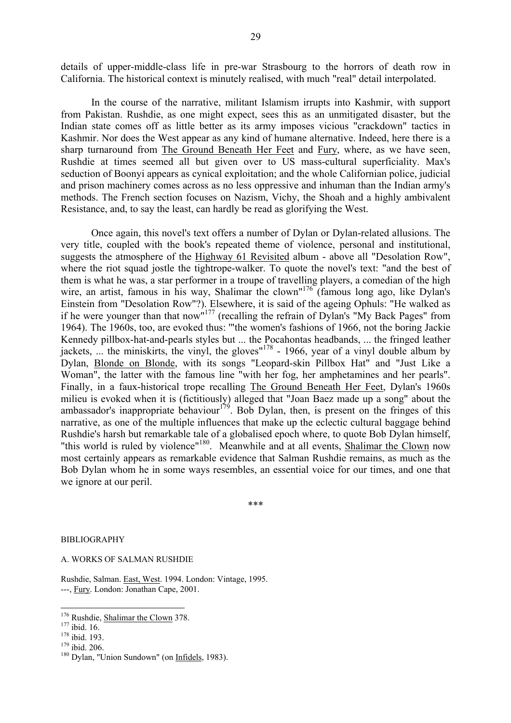details of upper-middle-class life in pre-war Strasbourg to the horrors of death row in California. The historical context is minutely realised, with much "real" detail interpolated.

In the course of the narrative, militant Islamism irrupts into Kashmir, with support from Pakistan. Rushdie, as one might expect, sees this as an unmitigated disaster, but the Indian state comes off as little better as its army imposes vicious "crackdown" tactics in Kashmir. Nor does the West appear as any kind of humane alternative. Indeed, here there is a sharp turnaround from The Ground Beneath Her Feet and Fury, where, as we have seen, Rushdie at times seemed all but given over to US mass-cultural superficiality. Max's seduction of Boonyi appears as cynical exploitation; and the whole Californian police, judicial and prison machinery comes across as no less oppressive and inhuman than the Indian army's methods. The French section focuses on Nazism, Vichy, the Shoah and a highly ambivalent Resistance, and, to say the least, can hardly be read as glorifying the West.

Once again, this novel's text offers a number of Dylan or Dylan-related allusions. The very title, coupled with the book's repeated theme of violence, personal and institutional, suggests the atmosphere of the Highway 61 Revisited album - above all "Desolation Row", where the riot squad jostle the tightrope-walker. To quote the novel's text: "and the best of them is what he was, a star performer in a troupe of travelling players, a comedian of the high wire, an artist, famous in his way, Shalimar the clown<sup>"176</sup> (famous long ago, like Dylan's Einstein from "Desolation Row"?). Elsewhere, it is said of the ageing Ophuls: "He walked as if he were younger than that now<sup>"177</sup> (recalling the refrain of Dylan's "My Back Pages" from 1964). The 1960s, too, are evoked thus: '"the women's fashions of 1966, not the boring Jackie Kennedy pillbox-hat-and-pearls styles but ... the Pocahontas headbands, ... the fringed leather jackets, ... the miniskirts, the vinyl, the gloves<sup> $178$ </sup> - 1966, year of a vinyl double album by Dylan, Blonde on Blonde, with its songs "Leopard-skin Pillbox Hat" and "Just Like a Woman", the latter with the famous line "with her fog, her amphetamines and her pearls". Finally, in a faux-historical trope recalling The Ground Beneath Her Feet, Dylan's 1960s milieu is evoked when it is (fictitiously) alleged that "Joan Baez made up a song" about the ambassador's inappropriate behaviour<sup>179</sup>. Bob Dylan, then, is present on the fringes of this narrative, as one of the multiple influences that make up the eclectic cultural baggage behind Rushdie's harsh but remarkable tale of a globalised epoch where, to quote Bob Dylan himself, "this world is ruled by violence"<sup>180</sup>. Meanwhile and at all events, Shalimar the Clown now most certainly appears as remarkable evidence that Salman Rushdie remains, as much as the Bob Dylan whom he in some ways resembles, an essential voice for our times, and one that we ignore at our peril.

\*\*\*

BIBLIOGRAPHY

A. WORKS OF SALMAN RUSHDIE

Rushdie, Salman. East, West. 1994. London: Vintage, 1995. ---, Fury. London: Jonathan Cape, 2001.

<sup>&</sup>lt;sup>176</sup> Rushdie, Shalimar the Clown 378.

<sup>177</sup> ibid. 16. 189. 179. 1178. 1178. 1178. 1178. 1178. 1178. 1178. 1179. 1179. 1179. 1179. 1179. 1180 Dylan, "Union Sundown" (on Infidels, 1983).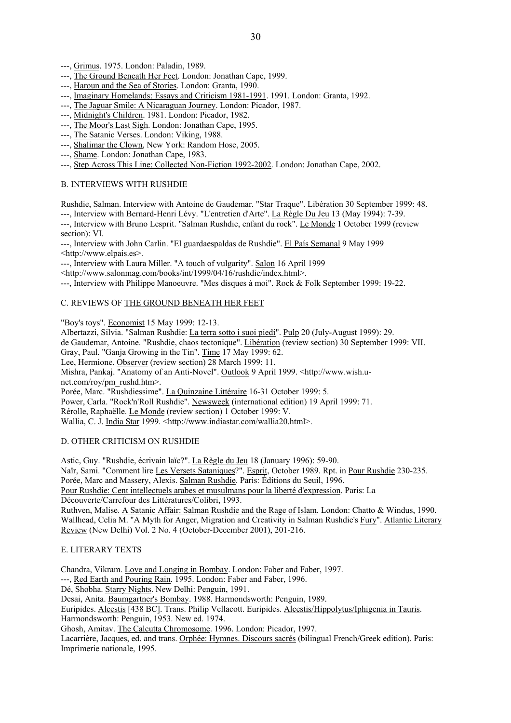---, Grimus. 1975. London: Paladin, 1989.

- ---, The Ground Beneath Her Feet. London: Jonathan Cape, 1999.
- ---, Haroun and the Sea of Stories. London: Granta, 1990.
- ---, Imaginary Homelands: Essays and Criticism 1981-1991. 1991. London: Granta, 1992.
- ---, The Jaguar Smile: A Nicaraguan Journey. London: Picador, 1987.
- ---, Midnight's Children. 1981. London: Picador, 1982.
- ---, The Moor's Last Sigh. London: Jonathan Cape, 1995.
- ---, The Satanic Verses. London: Viking, 1988.
- ---, Shalimar the Clown, New York: Random Hose, 2005.
- ---, Shame. London: Jonathan Cape, 1983.
- ---, Step Across This Line: Collected Non-Fiction 1992-2002. London: Jonathan Cape, 2002.

### B. INTERVIEWS WITH RUSHDIE

Rushdie, Salman. Interview with Antoine de Gaudemar. "Star Traque". Libération 30 September 1999: 48. ---, Interview with Bernard-Henri Lévy. "L'entretien d'Arte". La Règle Du Jeu 13 (May 1994): 7-39.

---, Interview with Bruno Lesprit. "Salman Rushdie, enfant du rock". Le Monde 1 October 1999 (review section): VI.

---, Interview with John Carlin. "El guardaespaldas de Rushdie". El País Semanal 9 May 1999 <http://www.elpais.es>.

---, Interview with Laura Miller. "A touch of vulgarity". Salon 16 April 1999

<http://www.salonmag.com/books/int/1999/04/16/rushdie/index.html>.

---, Interview with Philippe Manoeuvre. "Mes disques à moi". Rock & Folk September 1999: 19-22.

### C. REVIEWS OF THE GROUND BENEATH HER FEET

"Boy's toys". Economist 15 May 1999: 12-13.

Albertazzi, Silvia. "Salman Rushdie: La terra sotto i suoi piedi". Pulp 20 (July-August 1999): 29. de Gaudemar, Antoine. "Rushdie, chaos tectonique". Libération (review section) 30 September 1999: VII. Gray, Paul. "Ganja Growing in the Tin". Time 17 May 1999: 62. Lee, Hermione. Observer (review section) 28 March 1999: 11. Mishra, Pankaj. "Anatomy of an Anti-Novel". Outlook 9 April 1999. <http://www.wish.unet.com/roy/pm\_rushd.htm>. Porée, Marc. "Rushdiessime". La Quinzaine Littéraire 16-31 October 1999: 5. Power, Carla. "Rock'n'Roll Rushdie". Newsweek (international edition) 19 April 1999: 71. Rérolle, Raphaëlle. Le Monde (review section) 1 October 1999: V. Wallia, C. J. India Star 1999. <http://www.indiastar.com/wallia20.html>.

### D. OTHER CRITICISM ON RUSHDIE

Astic, Guy. "Rushdie, écrivain laïc?". La Règle du Jeu 18 (January 1996): 59-90.

Naïr, Sami. "Comment lire Les Versets Sataniques?". Esprit, October 1989. Rpt. in Pour Rushdie 230-235.

Porée, Marc and Massery, Alexis. Salman Rushdie. Paris: Éditions du Seuil, 1996.

Pour Rushdie: Cent intellectuels arabes et musulmans pour la liberté d'expression. Paris: La

Découverte/Carrefour des Littératures/Colibri, 1993.

Ruthven, Malise. A Satanic Affair: Salman Rushdie and the Rage of Islam. London: Chatto & Windus, 1990. Wallhead, Celia M. "A Myth for Anger, Migration and Creativity in Salman Rushdie's Fury". Atlantic Literary Review (New Delhi) Vol. 2 No. 4 (October-December 2001), 201-216.

### E. LITERARY TEXTS

Chandra, Vikram. Love and Longing in Bombay. London: Faber and Faber, 1997. ---, Red Earth and Pouring Rain. 1995. London: Faber and Faber, 1996. Dé, Shobha. Starry Nights. New Delhi: Penguin, 1991. Desai, Anita. Baumgartner's Bombay. 1988. Harmondsworth: Penguin, 1989. Euripides. Alcestis [438 BC]. Trans. Philip Vellacott. Euripides. Alcestis/Hippolytus/Iphigenia in Tauris. Harmondsworth: Penguin, 1953. New ed. 1974. Ghosh, Amitav. The Calcutta Chromosome. 1996. London: Picador, 1997. Lacarrière, Jacques, ed. and trans. Orphée: Hymnes. Discours sacrés (bilingual French/Greek edition). Paris: Imprimerie nationale, 1995.